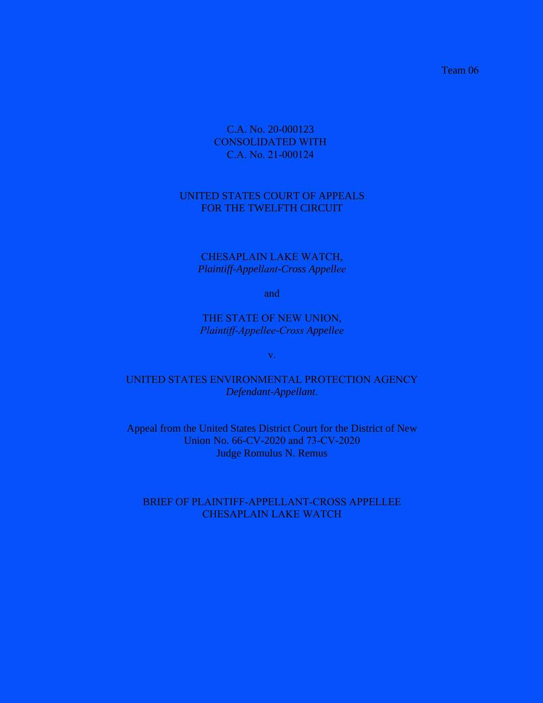Team 06

# C.A. No. 20-000123 CONSOLIDATED WITH C.A. No. 21-000124

## UNITED STATES COURT OF APPEALS FOR THE TWELFTH CIRCUIT

## CHESAPLAIN LAKE WATCH, *Plaintiff-Appellant-Cross Appellee*

and

THE STATE OF NEW UNION, *Plaintiff-Appellee-Cross Appellee*

v.

# UNITED STATES ENVIRONMENTAL PROTECTION AGENCY *Defendant-Appellant*.

Appeal from the United States District Court for the District of New Union No. 66-CV-2020 and 73-CV-2020 Judge Romulus N. Remus

# BRIEF OF PLAINTIFF-APPELLANT-CROSS APPELLEE CHESAPLAIN LAKE WATCH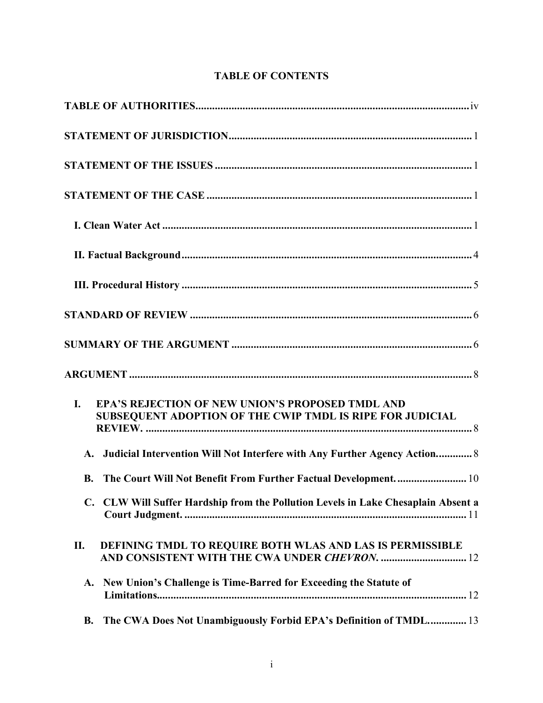# **TABLE OF CONTENTS**

| <b>EPA'S REJECTION OF NEW UNION'S PROPOSED TMDL AND</b><br>I.<br>SUBSEQUENT ADOPTION OF THE CWIP TMDL IS RIPE FOR JUDICIAL |
|----------------------------------------------------------------------------------------------------------------------------|
| A. Judicial Intervention Will Not Interfere with Any Further Agency Action 8                                               |
| The Court Will Not Benefit From Further Factual Development 10<br><b>B.</b>                                                |
| C. CLW Will Suffer Hardship from the Pollution Levels in Lake Chesaplain Absent a                                          |
| DEFINING TMDL TO REQUIRE BOTH WLAS AND LAS IS PERMISSIBLE<br>П.<br>AND CONSISTENT WITH THE CWA UNDER CHEVRON.  12          |
| New Union's Challenge is Time-Barred for Exceeding the Statute of<br>A.                                                    |
| The CWA Does Not Unambiguously Forbid EPA's Definition of TMDL 13<br><b>B.</b>                                             |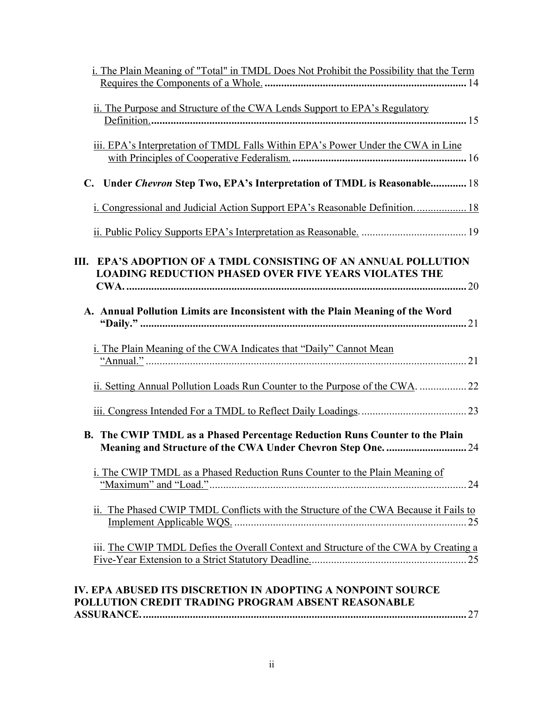| i. The Plain Meaning of "Total" in TMDL Does Not Prohibit the Possibility that the Term                                                 |
|-----------------------------------------------------------------------------------------------------------------------------------------|
|                                                                                                                                         |
| ii. The Purpose and Structure of the CWA Lends Support to EPA's Regulatory                                                              |
| iii. EPA's Interpretation of TMDL Falls Within EPA's Power Under the CWA in Line                                                        |
| Under Chevron Step Two, EPA's Interpretation of TMDL is Reasonable 18                                                                   |
| i. Congressional and Judicial Action Support EPA's Reasonable Definition 18                                                             |
|                                                                                                                                         |
| <b>EPA'S ADOPTION OF A TMDL CONSISTING OF AN ANNUAL POLLUTION</b><br>Ш.<br><b>LOADING REDUCTION PHASED OVER FIVE YEARS VIOLATES THE</b> |
|                                                                                                                                         |
| A. Annual Pollution Limits are Inconsistent with the Plain Meaning of the Word                                                          |
| i. The Plain Meaning of the CWA Indicates that "Daily" Cannot Mean                                                                      |
|                                                                                                                                         |
|                                                                                                                                         |
| B. The CWIP TMDL as a Phased Percentage Reduction Runs Counter to the Plain                                                             |
| i. The CWIP TMDL as a Phased Reduction Runs Counter to the Plain Meaning of                                                             |
| ii. The Phased CWIP TMDL Conflicts with the Structure of the CWA Because it Fails to                                                    |
| iii. The CWIP TMDL Defies the Overall Context and Structure of the CWA by Creating a                                                    |
| IV. EPA ABUSED ITS DISCRETION IN ADOPTING A NONPOINT SOURCE<br>POLLUTION CREDIT TRADING PROGRAM ABSENT REASONABLE                       |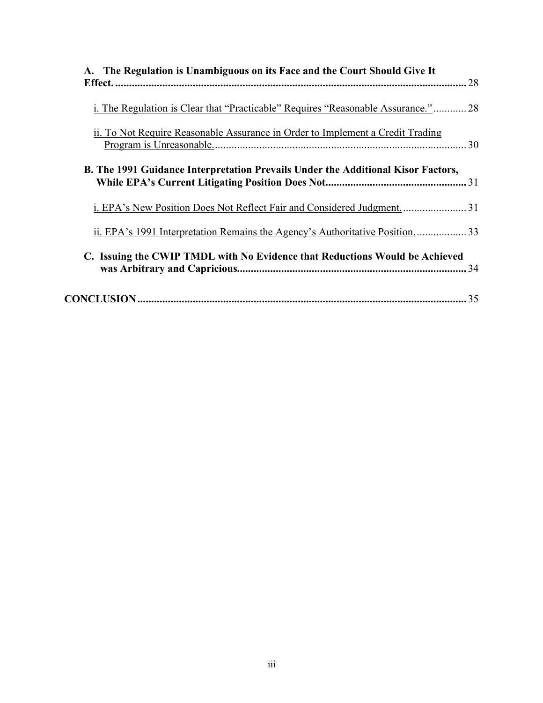| A. The Regulation is Unambiguous on its Face and the Court Should Give It               |  |
|-----------------------------------------------------------------------------------------|--|
| i. The Regulation is Clear that "Practicable" Requires "Reasonable Assurance."          |  |
| ii. To Not Require Reasonable Assurance in Order to Implement a Credit Trading          |  |
| <b>B.</b> The 1991 Guidance Interpretation Prevails Under the Additional Kisor Factors, |  |
|                                                                                         |  |
| ii. EPA's 1991 Interpretation Remains the Agency's Authoritative Position33             |  |
| C. Issuing the CWIP TMDL with No Evidence that Reductions Would be Achieved             |  |
|                                                                                         |  |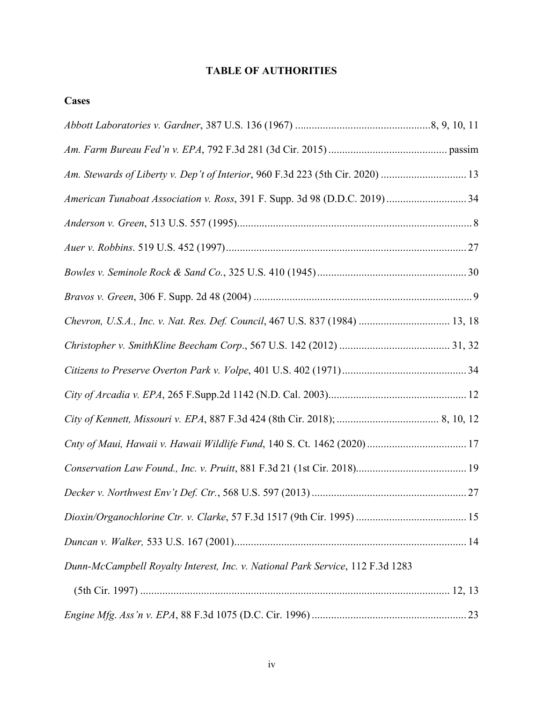# **TABLE OF AUTHORITIES**

**Cases**

| Chevron, U.S.A., Inc. v. Nat. Res. Def. Council, 467 U.S. 837 (1984)  13, 18   |  |
|--------------------------------------------------------------------------------|--|
|                                                                                |  |
|                                                                                |  |
|                                                                                |  |
|                                                                                |  |
|                                                                                |  |
|                                                                                |  |
|                                                                                |  |
|                                                                                |  |
|                                                                                |  |
| Dunn-McCampbell Royalty Interest, Inc. v. National Park Service, 112 F.3d 1283 |  |
|                                                                                |  |
|                                                                                |  |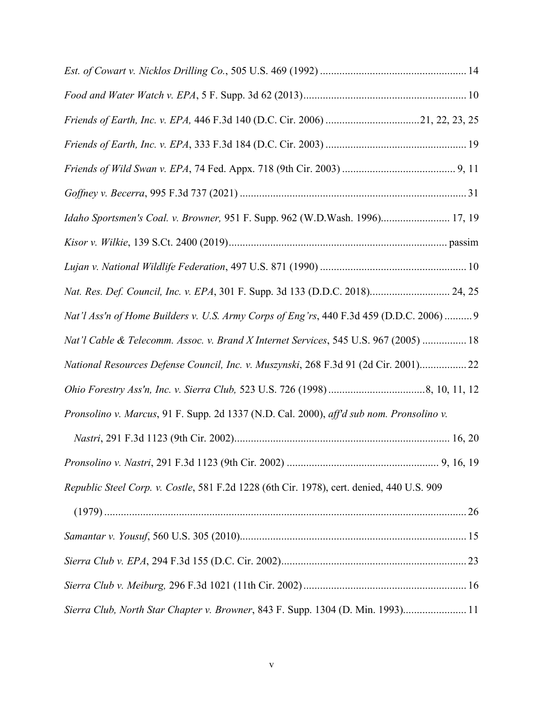| Friends of Earth, Inc. v. EPA, 446 F.3d 140 (D.C. Cir. 2006) 21, 22, 23, 25               |  |
|-------------------------------------------------------------------------------------------|--|
|                                                                                           |  |
|                                                                                           |  |
|                                                                                           |  |
| Idaho Sportsmen's Coal. v. Browner, 951 F. Supp. 962 (W.D.Wash. 1996) 17, 19              |  |
|                                                                                           |  |
|                                                                                           |  |
| Nat. Res. Def. Council, Inc. v. EPA, 301 F. Supp. 3d 133 (D.D.C. 2018) 24, 25             |  |
| Nat'l Ass'n of Home Builders v. U.S. Army Corps of Eng'rs, 440 F.3d 459 (D.D.C. 2006)  9  |  |
| Nat'l Cable & Telecomm. Assoc. v. Brand X Internet Services, 545 U.S. 967 (2005)  18      |  |
| National Resources Defense Council, Inc. v. Muszynski, 268 F.3d 91 (2d Cir. 2001) 22      |  |
|                                                                                           |  |
| Pronsolino v. Marcus, 91 F. Supp. 2d 1337 (N.D. Cal. 2000), aff'd sub nom. Pronsolino v.  |  |
|                                                                                           |  |
|                                                                                           |  |
| Republic Steel Corp. v. Costle, 581 F.2d 1228 (6th Cir. 1978), cert. denied, 440 U.S. 909 |  |
|                                                                                           |  |
|                                                                                           |  |
|                                                                                           |  |
|                                                                                           |  |
| Sierra Club, North Star Chapter v. Browner, 843 F. Supp. 1304 (D. Min. 1993) 11           |  |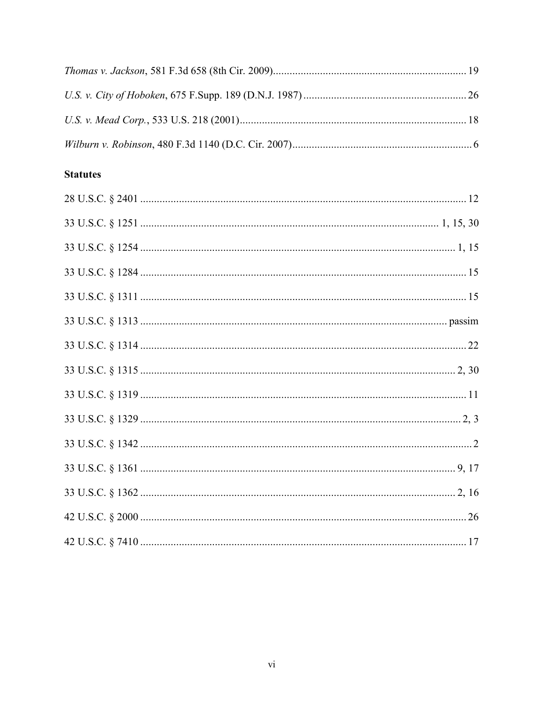# **Statutes**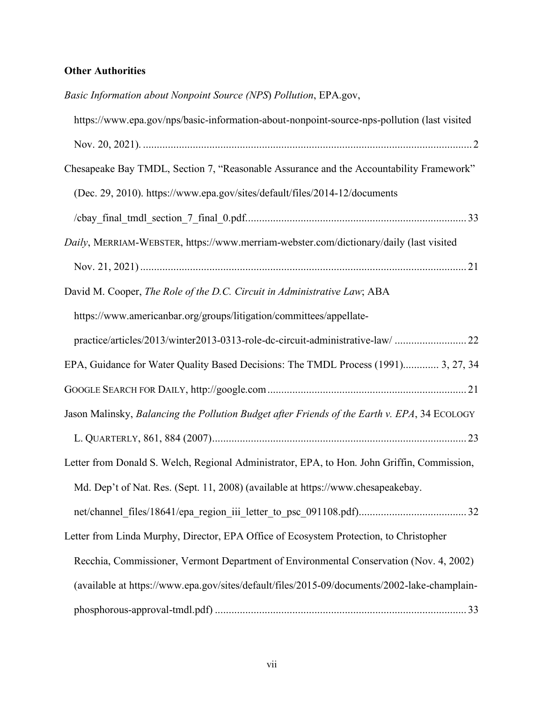# **Other Authorities**

| Basic Information about Nonpoint Source (NPS) Pollution, EPA.gov,                            |
|----------------------------------------------------------------------------------------------|
| https://www.epa.gov/nps/basic-information-about-nonpoint-source-nps-pollution (last visited  |
|                                                                                              |
| Chesapeake Bay TMDL, Section 7, "Reasonable Assurance and the Accountability Framework"      |
| (Dec. 29, 2010). https://www.epa.gov/sites/default/files/2014-12/documents                   |
|                                                                                              |
| Daily, MERRIAM-WEBSTER, https://www.merriam-webster.com/dictionary/daily (last visited       |
|                                                                                              |
| David M. Cooper, The Role of the D.C. Circuit in Administrative Law; ABA                     |
| https://www.americanbar.org/groups/litigation/committees/appellate-                          |
| practice/articles/2013/winter2013-0313-role-dc-circuit-administrative-law/  22               |
| EPA, Guidance for Water Quality Based Decisions: The TMDL Process (1991) 3, 27, 34           |
|                                                                                              |
| Jason Malinsky, Balancing the Pollution Budget after Friends of the Earth v. EPA, 34 ECOLOGY |
|                                                                                              |
| Letter from Donald S. Welch, Regional Administrator, EPA, to Hon. John Griffin, Commission,  |
| Md. Dep't of Nat. Res. (Sept. 11, 2008) (available at https://www.chesapeakebay.             |
|                                                                                              |
| Letter from Linda Murphy, Director, EPA Office of Ecosystem Protection, to Christopher       |
| Recchia, Commissioner, Vermont Department of Environmental Conservation (Nov. 4, 2002)       |
| (available at https://www.epa.gov/sites/default/files/2015-09/documents/2002-lake-champlain- |
|                                                                                              |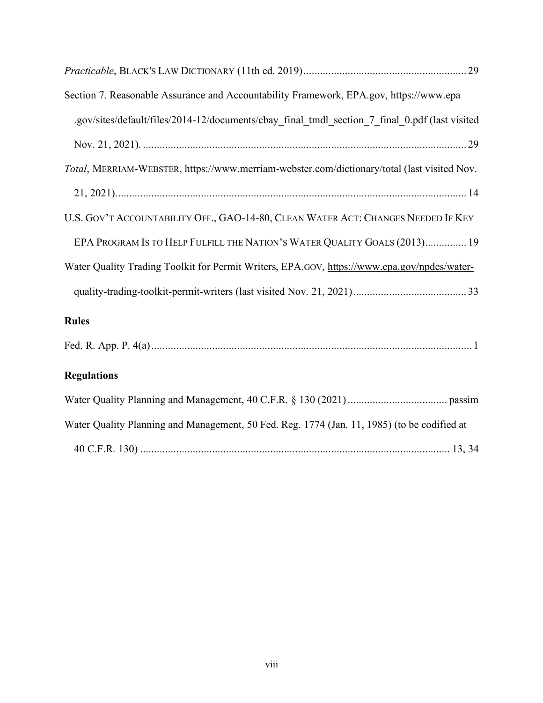| Section 7. Reasonable Assurance and Accountability Framework, EPA.gov, https://www.epa         |
|------------------------------------------------------------------------------------------------|
| .gov/sites/default/files/2014-12/documents/cbay_final_tmdl_section_7_final_0.pdf (last visited |
|                                                                                                |
| Total, MERRIAM-WEBSTER, https://www.merriam-webster.com/dictionary/total (last visited Nov.    |
|                                                                                                |
| U.S. GOV'T ACCOUNTABILITY OFF., GAO-14-80, CLEAN WATER ACT: CHANGES NEEDED IF KEY              |
| EPA PROGRAM IS TO HELP FULFILL THE NATION'S WATER QUALITY GOALS (2013) 19                      |
| Water Quality Trading Toolkit for Permit Writers, EPA.GOV, https://www.epa.gov/npdes/water-    |
|                                                                                                |
| <b>Rules</b>                                                                                   |
|                                                                                                |
| <b>Regulations</b>                                                                             |
|                                                                                                |
| Water Quality Planning and Management, 50 Fed. Reg. 1774 (Jan. 11, 1985) (to be codified at    |
|                                                                                                |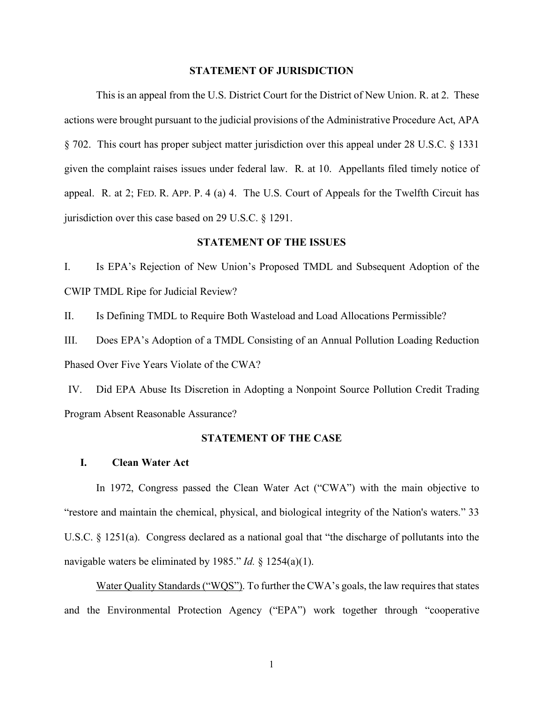#### **STATEMENT OF JURISDICTION**

This is an appeal from the U.S. District Court for the District of New Union. R. at 2. These actions were brought pursuant to the judicial provisions of the Administrative Procedure Act, APA § 702. This court has proper subject matter jurisdiction over this appeal under 28 U.S.C. § 1331 given the complaint raises issues under federal law. R. at 10. Appellants filed timely notice of appeal. R. at 2; FED. R. APP. P. 4 (a) 4. The U.S. Court of Appeals for the Twelfth Circuit has jurisdiction over this case based on 29 U.S.C. § 1291.

#### **STATEMENT OF THE ISSUES**

I. Is EPA's Rejection of New Union's Proposed TMDL and Subsequent Adoption of the CWIP TMDL Ripe for Judicial Review?

II. Is Defining TMDL to Require Both Wasteload and Load Allocations Permissible?

III. Does EPA's Adoption of a TMDL Consisting of an Annual Pollution Loading Reduction Phased Over Five Years Violate of the CWA?

IV. Did EPA Abuse Its Discretion in Adopting a Nonpoint Source Pollution Credit Trading Program Absent Reasonable Assurance?

### **STATEMENT OF THE CASE**

#### **I. Clean Water Act**

In 1972, Congress passed the Clean Water Act ("CWA") with the main objective to "restore and maintain the chemical, physical, and biological integrity of the Nation's waters." 33 U.S.C. § 1251(a). Congress declared as a national goal that "the discharge of pollutants into the navigable waters be eliminated by 1985." *Id.* § 1254(a)(1).

Water Quality Standards ("WQS"). To further the CWA's goals, the law requires that states and the Environmental Protection Agency ("EPA") work together through "cooperative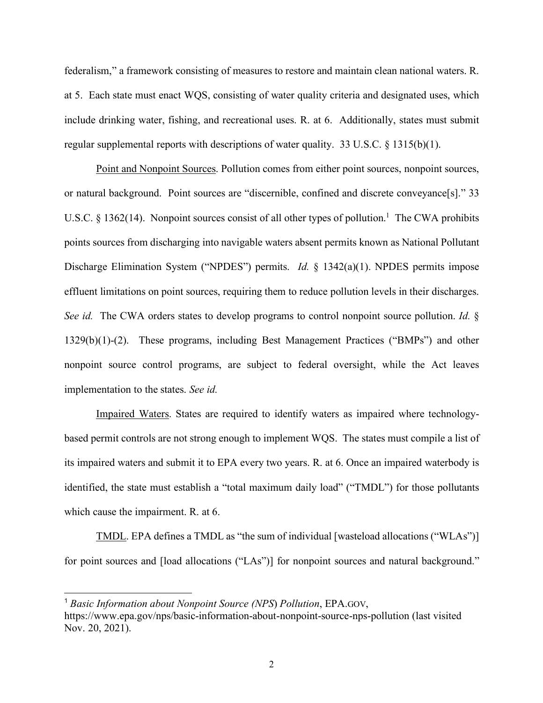federalism," a framework consisting of measures to restore and maintain clean national waters. R. at 5. Each state must enact WQS, consisting of water quality criteria and designated uses, which include drinking water, fishing, and recreational uses. R. at 6. Additionally, states must submit regular supplemental reports with descriptions of water quality. 33 U.S.C. § 1315(b)(1).

Point and Nonpoint Sources. Pollution comes from either point sources, nonpoint sources, or natural background. Point sources are "discernible, confined and discrete conveyance[s]." 33 U.S.C. § 1362(14). Nonpoint sources consist of all other types of pollution.<sup>1</sup> The CWA prohibits points sources from discharging into navigable waters absent permits known as National Pollutant Discharge Elimination System ("NPDES") permits. *Id.* § 1342(a)(1). NPDES permits impose effluent limitations on point sources, requiring them to reduce pollution levels in their discharges. *See id.* The CWA orders states to develop programs to control nonpoint source pollution. *Id.* § 1329(b)(1)-(2). These programs, including Best Management Practices ("BMPs") and other nonpoint source control programs, are subject to federal oversight, while the Act leaves implementation to the states. *See id.*

Impaired Waters. States are required to identify waters as impaired where technologybased permit controls are not strong enough to implement WQS. The states must compile a list of its impaired waters and submit it to EPA every two years. R. at 6. Once an impaired waterbody is identified, the state must establish a "total maximum daily load" ("TMDL") for those pollutants which cause the impairment. R. at 6.

TMDL. EPA defines a TMDL as "the sum of individual [wasteload allocations ("WLAs")] for point sources and [load allocations ("LAs")] for nonpoint sources and natural background."

 <sup>1</sup> *Basic Information about Nonpoint Source (NPS*) *Pollution*, EPA.GOV, https://www.epa.gov/nps/basic-information-about-nonpoint-source-nps-pollution (last visited

Nov. 20, 2021).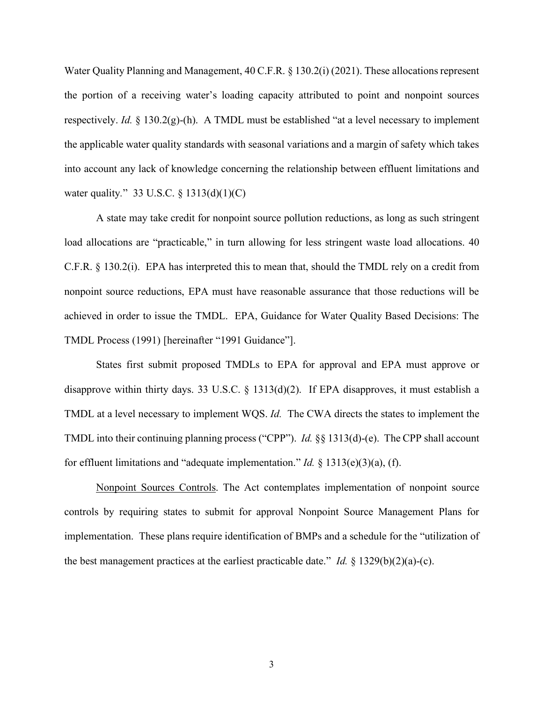Water Quality Planning and Management, 40 C.F.R. § 130.2(i) (2021). These allocations represent the portion of a receiving water's loading capacity attributed to point and nonpoint sources respectively. *Id.* § 130.2(g)-(h). A TMDL must be established "at a level necessary to implement the applicable water quality standards with seasonal variations and a margin of safety which takes into account any lack of knowledge concerning the relationship between effluent limitations and water quality*.*" 33 U.S.C. § 1313(d)(1)(C)

A state may take credit for nonpoint source pollution reductions, as long as such stringent load allocations are "practicable," in turn allowing for less stringent waste load allocations. 40 C.F.R. § 130.2(i). EPA has interpreted this to mean that, should the TMDL rely on a credit from nonpoint source reductions, EPA must have reasonable assurance that those reductions will be achieved in order to issue the TMDL. EPA, Guidance for Water Quality Based Decisions: The TMDL Process (1991) [hereinafter "1991 Guidance"].

States first submit proposed TMDLs to EPA for approval and EPA must approve or disapprove within thirty days. 33 U.S.C. § 1313(d)(2). If EPA disapproves, it must establish a TMDL at a level necessary to implement WQS. *Id.* The CWA directs the states to implement the TMDL into their continuing planning process ("CPP"). *Id.* §§ 1313(d)-(e). The CPP shall account for effluent limitations and "adequate implementation." *Id.* § 1313(e)(3)(a), (f).

Nonpoint Sources Controls. The Act contemplates implementation of nonpoint source controls by requiring states to submit for approval Nonpoint Source Management Plans for implementation. These plans require identification of BMPs and a schedule for the "utilization of the best management practices at the earliest practicable date." *Id.* § 1329(b)(2)(a)-(c).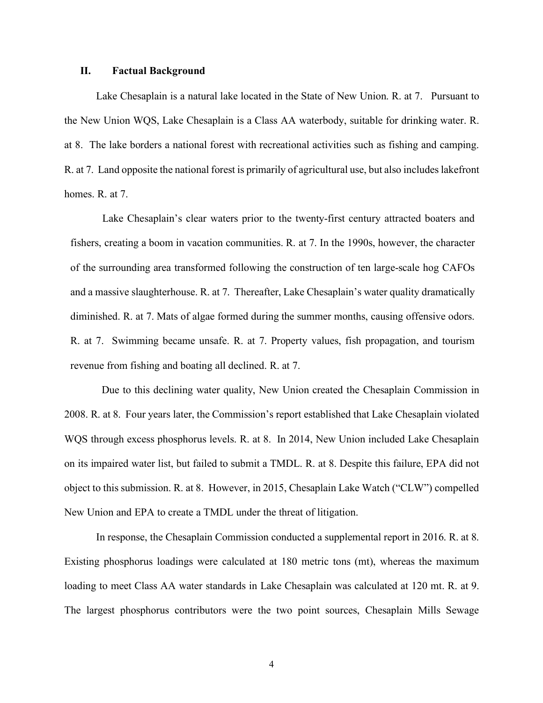### **II. Factual Background**

Lake Chesaplain is a natural lake located in the State of New Union. R. at 7. Pursuant to the New Union WQS, Lake Chesaplain is a Class AA waterbody, suitable for drinking water. R. at 8. The lake borders a national forest with recreational activities such as fishing and camping. R. at 7. Land opposite the national forest is primarily of agricultural use, but also includes lakefront homes. R. at 7.

Lake Chesaplain's clear waters prior to the twenty-first century attracted boaters and fishers, creating a boom in vacation communities. R. at 7. In the 1990s, however, the character of the surrounding area transformed following the construction of ten large-scale hog CAFOs and a massive slaughterhouse. R. at 7. Thereafter, Lake Chesaplain's water quality dramatically diminished. R. at 7. Mats of algae formed during the summer months, causing offensive odors. R. at 7. Swimming became unsafe. R. at 7. Property values, fish propagation, and tourism revenue from fishing and boating all declined. R. at 7.

Due to this declining water quality, New Union created the Chesaplain Commission in 2008. R. at 8. Four years later, the Commission's report established that Lake Chesaplain violated WQS through excess phosphorus levels. R. at 8. In 2014, New Union included Lake Chesaplain on its impaired water list, but failed to submit a TMDL. R. at 8. Despite this failure, EPA did not object to this submission. R. at 8. However, in 2015, Chesaplain Lake Watch ("CLW") compelled New Union and EPA to create a TMDL under the threat of litigation.

In response, the Chesaplain Commission conducted a supplemental report in 2016. R. at 8. Existing phosphorus loadings were calculated at 180 metric tons (mt), whereas the maximum loading to meet Class AA water standards in Lake Chesaplain was calculated at 120 mt. R. at 9. The largest phosphorus contributors were the two point sources, Chesaplain Mills Sewage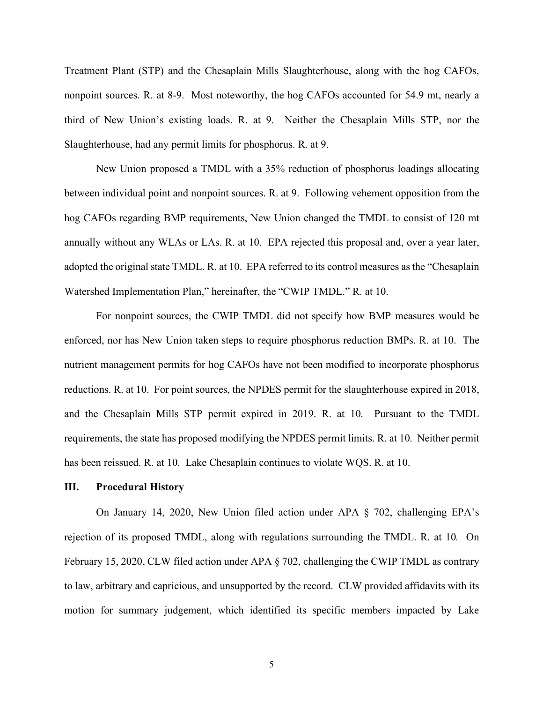Treatment Plant (STP) and the Chesaplain Mills Slaughterhouse, along with the hog CAFOs, nonpoint sources. R. at 8-9. Most noteworthy, the hog CAFOs accounted for 54.9 mt, nearly a third of New Union's existing loads. R. at 9. Neither the Chesaplain Mills STP, nor the Slaughterhouse, had any permit limits for phosphorus. R. at 9.

New Union proposed a TMDL with a 35% reduction of phosphorus loadings allocating between individual point and nonpoint sources. R. at 9. Following vehement opposition from the hog CAFOs regarding BMP requirements, New Union changed the TMDL to consist of 120 mt annually without any WLAs or LAs. R. at 10. EPA rejected this proposal and, over a year later, adopted the original state TMDL. R. at 10. EPA referred to its control measures as the "Chesaplain Watershed Implementation Plan," hereinafter, the "CWIP TMDL." R. at 10.

For nonpoint sources, the CWIP TMDL did not specify how BMP measures would be enforced, nor has New Union taken steps to require phosphorus reduction BMPs. R. at 10. The nutrient management permits for hog CAFOs have not been modified to incorporate phosphorus reductions. R. at 10. For point sources, the NPDES permit for the slaughterhouse expired in 2018, and the Chesaplain Mills STP permit expired in 2019. R. at 10. Pursuant to the TMDL requirements, the state has proposed modifying the NPDES permit limits. R. at 10. Neither permit has been reissued. R. at 10. Lake Chesaplain continues to violate WQS. R. at 10.

### **III. Procedural History**

On January 14, 2020, New Union filed action under APA § 702, challenging EPA's rejection of its proposed TMDL, along with regulations surrounding the TMDL. R. at 10*.* On February 15, 2020, CLW filed action under APA § 702, challenging the CWIP TMDL as contrary to law, arbitrary and capricious, and unsupported by the record. CLW provided affidavits with its motion for summary judgement, which identified its specific members impacted by Lake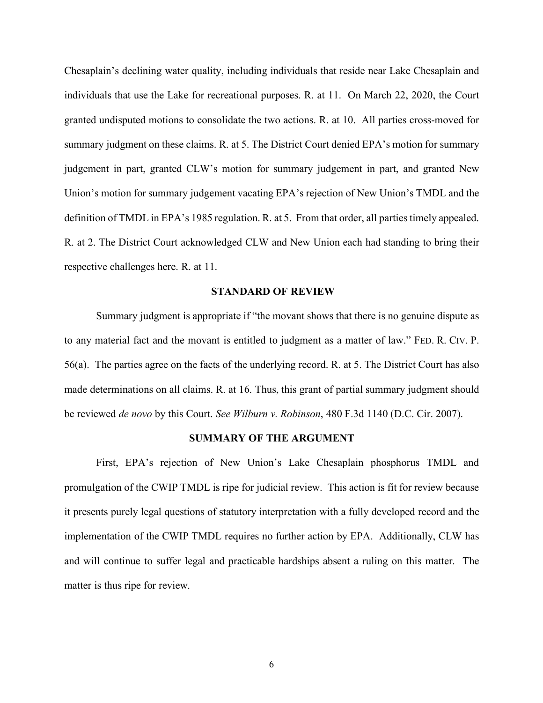Chesaplain's declining water quality, including individuals that reside near Lake Chesaplain and individuals that use the Lake for recreational purposes. R. at 11. On March 22, 2020, the Court granted undisputed motions to consolidate the two actions. R. at 10. All parties cross-moved for summary judgment on these claims. R. at 5. The District Court denied EPA's motion for summary judgement in part, granted CLW's motion for summary judgement in part, and granted New Union's motion for summary judgement vacating EPA's rejection of New Union's TMDL and the definition of TMDL in EPA's 1985 regulation. R. at 5. From that order, all parties timely appealed. R. at 2. The District Court acknowledged CLW and New Union each had standing to bring their respective challenges here. R. at 11.

#### **STANDARD OF REVIEW**

Summary judgment is appropriate if "the movant shows that there is no genuine dispute as to any material fact and the movant is entitled to judgment as a matter of law." FED. R. CIV. P. 56(a). The parties agree on the facts of the underlying record. R. at 5. The District Court has also made determinations on all claims. R. at 16. Thus, this grant of partial summary judgment should be reviewed *de novo* by this Court. *See Wilburn v. Robinson*, 480 F.3d 1140 (D.C. Cir. 2007).

#### **SUMMARY OF THE ARGUMENT**

 First, EPA's rejection of New Union's Lake Chesaplain phosphorus TMDL and promulgation of the CWIP TMDL is ripe for judicial review. This action is fit for review because it presents purely legal questions of statutory interpretation with a fully developed record and the implementation of the CWIP TMDL requires no further action by EPA. Additionally, CLW has and will continue to suffer legal and practicable hardships absent a ruling on this matter. The matter is thus ripe for review.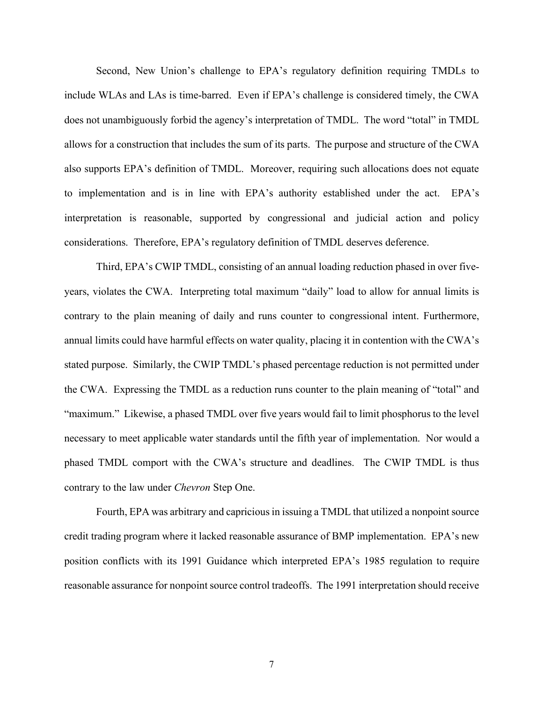Second, New Union's challenge to EPA's regulatory definition requiring TMDLs to include WLAs and LAs is time-barred. Even if EPA's challenge is considered timely, the CWA does not unambiguously forbid the agency's interpretation of TMDL. The word "total" in TMDL allows for a construction that includes the sum of its parts. The purpose and structure of the CWA also supports EPA's definition of TMDL. Moreover, requiring such allocations does not equate to implementation and is in line with EPA's authority established under the act. EPA's interpretation is reasonable, supported by congressional and judicial action and policy considerations. Therefore, EPA's regulatory definition of TMDL deserves deference.

 Third, EPA's CWIP TMDL, consisting of an annual loading reduction phased in over fiveyears, violates the CWA. Interpreting total maximum "daily" load to allow for annual limits is contrary to the plain meaning of daily and runs counter to congressional intent. Furthermore, annual limits could have harmful effects on water quality, placing it in contention with the CWA's stated purpose. Similarly, the CWIP TMDL's phased percentage reduction is not permitted under the CWA. Expressing the TMDL as a reduction runs counter to the plain meaning of "total" and "maximum." Likewise, a phased TMDL over five years would fail to limit phosphorus to the level necessary to meet applicable water standards until the fifth year of implementation. Nor would a phased TMDL comport with the CWA's structure and deadlines. The CWIP TMDL is thus contrary to the law under *Chevron* Step One.

 Fourth, EPA was arbitrary and capricious in issuing a TMDL that utilized a nonpoint source credit trading program where it lacked reasonable assurance of BMP implementation. EPA's new position conflicts with its 1991 Guidance which interpreted EPA's 1985 regulation to require reasonable assurance for nonpoint source control tradeoffs. The 1991 interpretation should receive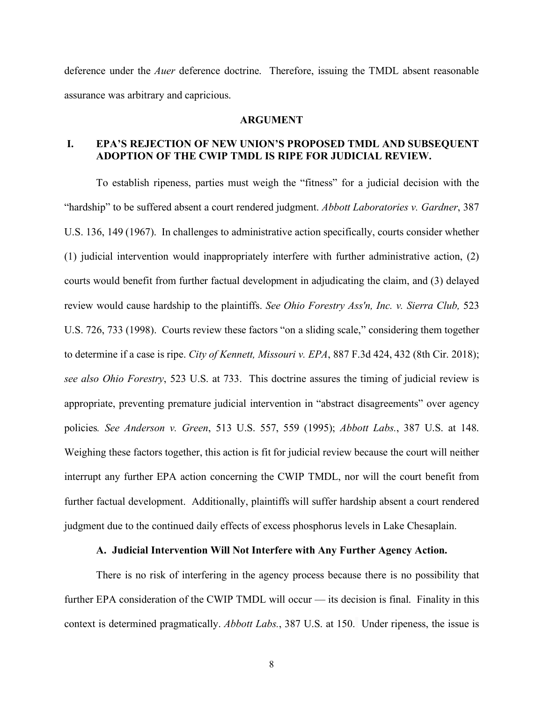deference under the *Auer* deference doctrine. Therefore, issuing the TMDL absent reasonable assurance was arbitrary and capricious.

### **ARGUMENT**

### **I. EPA'S REJECTION OF NEW UNION'S PROPOSED TMDL AND SUBSEQUENT ADOPTION OF THE CWIP TMDL IS RIPE FOR JUDICIAL REVIEW.**

To establish ripeness, parties must weigh the "fitness" for a judicial decision with the "hardship" to be suffered absent a court rendered judgment. *Abbott Laboratories v. Gardner*, 387 U.S. 136, 149 (1967). In challenges to administrative action specifically, courts consider whether (1) judicial intervention would inappropriately interfere with further administrative action, (2) courts would benefit from further factual development in adjudicating the claim, and (3) delayed review would cause hardship to the plaintiffs. *See Ohio Forestry Ass'n, Inc. v. Sierra Club,* 523 U.S. 726, 733 (1998). Courts review these factors "on a sliding scale," considering them together to determine if a case is ripe. *City of Kennett, Missouri v. EPA*, 887 F.3d 424, 432 (8th Cir. 2018); *see also Ohio Forestry*, 523 U.S. at 733. This doctrine assures the timing of judicial review is appropriate, preventing premature judicial intervention in "abstract disagreements" over agency policies*. See Anderson v. Green*, 513 U.S. 557, 559 (1995); *Abbott Labs.*, 387 U.S. at 148. Weighing these factors together, this action is fit for judicial review because the court will neither interrupt any further EPA action concerning the CWIP TMDL, nor will the court benefit from further factual development. Additionally, plaintiffs will suffer hardship absent a court rendered judgment due to the continued daily effects of excess phosphorus levels in Lake Chesaplain.

### **A. Judicial Intervention Will Not Interfere with Any Further Agency Action.**

There is no risk of interfering in the agency process because there is no possibility that further EPA consideration of the CWIP TMDL will occur — its decision is final. Finality in this context is determined pragmatically. *Abbott Labs.*, 387 U.S. at 150. Under ripeness, the issue is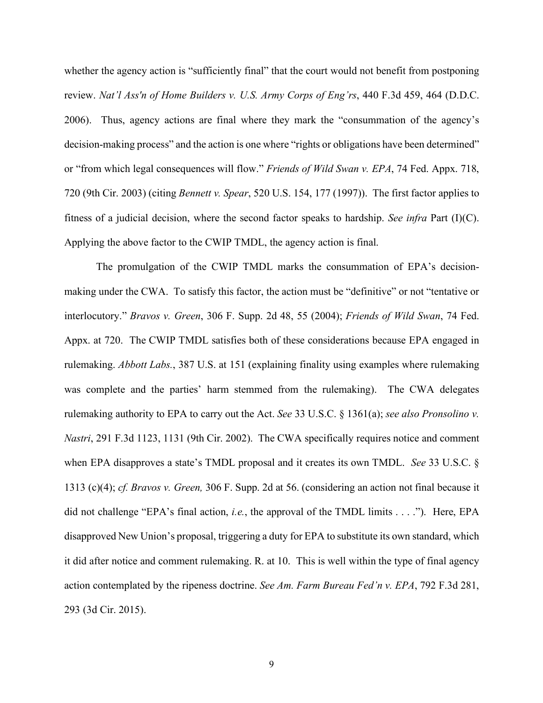whether the agency action is "sufficiently final" that the court would not benefit from postponing review. *Nat'l Ass'n of Home Builders v. U.S. Army Corps of Eng'rs*, 440 F.3d 459, 464 (D.D.C. 2006). Thus, agency actions are final where they mark the "consummation of the agency's decision-making process" and the action is one where "rights or obligations have been determined" or "from which legal consequences will flow." *Friends of Wild Swan v. EPA*, 74 Fed. Appx. 718, 720 (9th Cir. 2003) (citing *Bennett v. Spear*, 520 U.S. 154, 177 (1997)). The first factor applies to fitness of a judicial decision, where the second factor speaks to hardship. *See infra* Part (I)(C). Applying the above factor to the CWIP TMDL, the agency action is final.

The promulgation of the CWIP TMDL marks the consummation of EPA's decisionmaking under the CWA. To satisfy this factor, the action must be "definitive" or not "tentative or interlocutory." *Bravos v. Green*, 306 F. Supp. 2d 48, 55 (2004); *Friends of Wild Swan*, 74 Fed. Appx. at 720. The CWIP TMDL satisfies both of these considerations because EPA engaged in rulemaking. *Abbott Labs.*, 387 U.S. at 151 (explaining finality using examples where rulemaking was complete and the parties' harm stemmed from the rulemaking). The CWA delegates rulemaking authority to EPA to carry out the Act. *See* 33 U.S.C. § 1361(a); *see also Pronsolino v. Nastri*, 291 F.3d 1123, 1131 (9th Cir. 2002). The CWA specifically requires notice and comment when EPA disapproves a state's TMDL proposal and it creates its own TMDL. *See* 33 U.S.C. § 1313 (c)(4); *cf. Bravos v. Green,* 306 F. Supp. 2d at 56. (considering an action not final because it did not challenge "EPA's final action, *i.e.*, the approval of the TMDL limits . . . ."). Here, EPA disapproved New Union's proposal, triggering a duty for EPA to substitute its own standard, which it did after notice and comment rulemaking. R. at 10. This is well within the type of final agency action contemplated by the ripeness doctrine. *See Am. Farm Bureau Fed'n v. EPA*, 792 F.3d 281, 293 (3d Cir. 2015).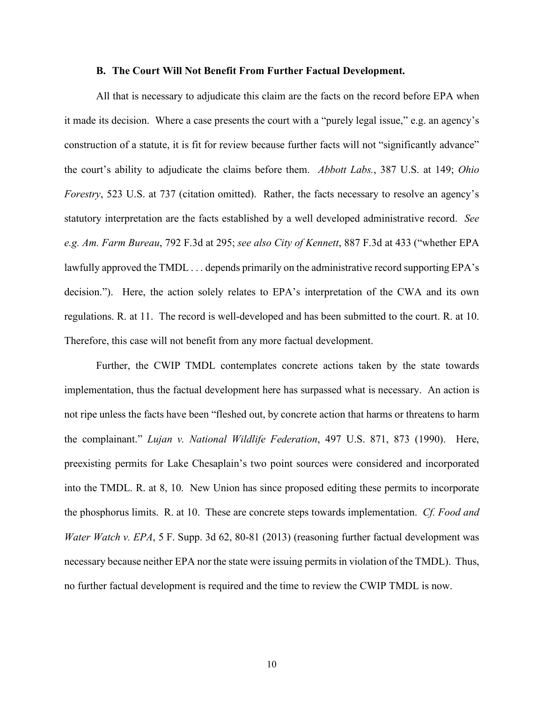### **B. The Court Will Not Benefit From Further Factual Development.**

All that is necessary to adjudicate this claim are the facts on the record before EPA when it made its decision. Where a case presents the court with a "purely legal issue," e.g. an agency's construction of a statute, it is fit for review because further facts will not "significantly advance" the court's ability to adjudicate the claims before them. *Abbott Labs.*, 387 U.S. at 149; *Ohio Forestry*, 523 U.S. at 737 (citation omitted). Rather, the facts necessary to resolve an agency's statutory interpretation are the facts established by a well developed administrative record. *See e.g. Am. Farm Bureau*, 792 F.3d at 295; *see also City of Kennett*, 887 F.3d at 433 ("whether EPA lawfully approved the TMDL . . . depends primarily on the administrative record supporting EPA's decision."). Here, the action solely relates to EPA's interpretation of the CWA and its own regulations. R. at 11. The record is well-developed and has been submitted to the court. R. at 10. Therefore, this case will not benefit from any more factual development.

Further, the CWIP TMDL contemplates concrete actions taken by the state towards implementation, thus the factual development here has surpassed what is necessary. An action is not ripe unless the facts have been "fleshed out, by concrete action that harms or threatens to harm the complainant." *Lujan v. National Wildlife Federation*, 497 U.S. 871, 873 (1990). Here, preexisting permits for Lake Chesaplain's two point sources were considered and incorporated into the TMDL. R. at 8, 10. New Union has since proposed editing these permits to incorporate the phosphorus limits. R. at 10. These are concrete steps towards implementation. *Cf. Food and Water Watch v. EPA*, 5 F. Supp. 3d 62, 80-81 (2013) (reasoning further factual development was necessary because neither EPA nor the state were issuing permits in violation of the TMDL). Thus, no further factual development is required and the time to review the CWIP TMDL is now.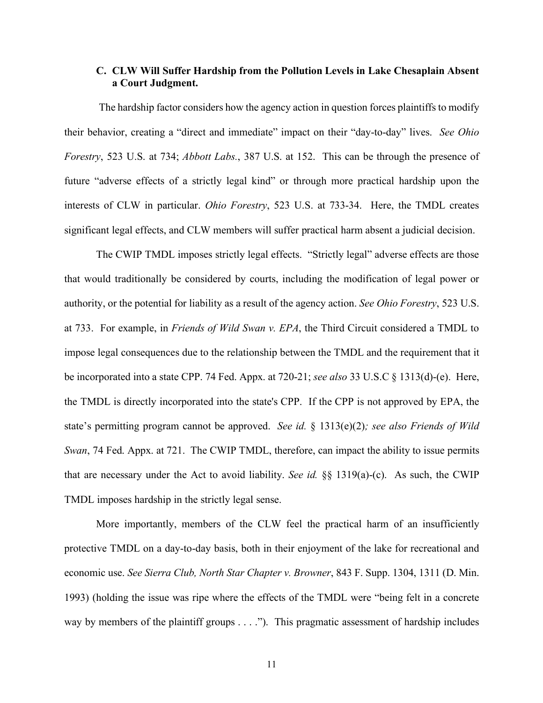## **C. CLW Will Suffer Hardship from the Pollution Levels in Lake Chesaplain Absent a Court Judgment.**

The hardship factor considers how the agency action in question forces plaintiffs to modify their behavior, creating a "direct and immediate" impact on their "day-to-day" lives. *See Ohio Forestry*, 523 U.S. at 734; *Abbott Labs.*, 387 U.S. at 152. This can be through the presence of future "adverse effects of a strictly legal kind" or through more practical hardship upon the interests of CLW in particular. *Ohio Forestry*, 523 U.S. at 733-34. Here, the TMDL creates significant legal effects, and CLW members will suffer practical harm absent a judicial decision.

The CWIP TMDL imposes strictly legal effects. "Strictly legal" adverse effects are those that would traditionally be considered by courts, including the modification of legal power or authority, or the potential for liability as a result of the agency action. *See Ohio Forestry*, 523 U.S. at 733. For example, in *Friends of Wild Swan v. EPA*, the Third Circuit considered a TMDL to impose legal consequences due to the relationship between the TMDL and the requirement that it be incorporated into a state CPP. 74 Fed. Appx. at 720-21; *see also* 33 U.S.C § 1313(d)-(e). Here, the TMDL is directly incorporated into the state's CPP. If the CPP is not approved by EPA, the state's permitting program cannot be approved. *See id.* § 1313(e)(2)*; see also Friends of Wild Swan*, 74 Fed. Appx. at 721. The CWIP TMDL, therefore, can impact the ability to issue permits that are necessary under the Act to avoid liability. *See id.* §§ 1319(a)-(c). As such, the CWIP TMDL imposes hardship in the strictly legal sense.

More importantly, members of the CLW feel the practical harm of an insufficiently protective TMDL on a day-to-day basis, both in their enjoyment of the lake for recreational and economic use. *See Sierra Club, North Star Chapter v. Browner*, 843 F. Supp. 1304, 1311 (D. Min. 1993) (holding the issue was ripe where the effects of the TMDL were "being felt in a concrete way by members of the plaintiff groups . . . ."). This pragmatic assessment of hardship includes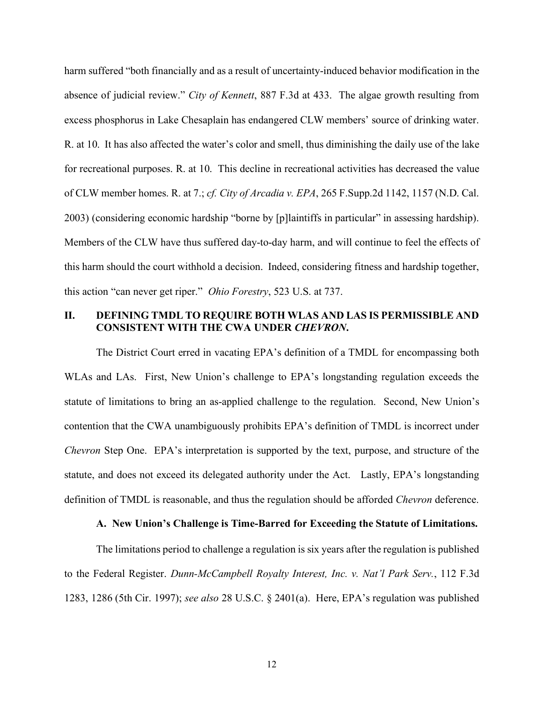harm suffered "both financially and as a result of uncertainty-induced behavior modification in the absence of judicial review." *City of Kennett*, 887 F.3d at 433. The algae growth resulting from excess phosphorus in Lake Chesaplain has endangered CLW members' source of drinking water. R. at 10. It has also affected the water's color and smell, thus diminishing the daily use of the lake for recreational purposes. R. at 10. This decline in recreational activities has decreased the value of CLW member homes. R. at 7.; *cf. City of Arcadia v. EPA*, 265 F.Supp.2d 1142, 1157 (N.D. Cal. 2003) (considering economic hardship "borne by [p]laintiffs in particular" in assessing hardship). Members of the CLW have thus suffered day-to-day harm, and will continue to feel the effects of this harm should the court withhold a decision. Indeed, considering fitness and hardship together, this action "can never get riper." *Ohio Forestry*, 523 U.S. at 737.

# **II. DEFINING TMDL TO REQUIRE BOTH WLAS AND LAS IS PERMISSIBLE AND CONSISTENT WITH THE CWA UNDER** *CHEVRON***.**

 The District Court erred in vacating EPA's definition of a TMDL for encompassing both WLAs and LAs. First, New Union's challenge to EPA's longstanding regulation exceeds the statute of limitations to bring an as-applied challenge to the regulation. Second, New Union's contention that the CWA unambiguously prohibits EPA's definition of TMDL is incorrect under *Chevron* Step One. EPA's interpretation is supported by the text, purpose, and structure of the statute, and does not exceed its delegated authority under the Act. Lastly, EPA's longstanding definition of TMDL is reasonable, and thus the regulation should be afforded *Chevron* deference.

### **A. New Union's Challenge is Time-Barred for Exceeding the Statute of Limitations.**

The limitations period to challenge a regulation is six years after the regulation is published to the Federal Register. *Dunn-McCampbell Royalty Interest, Inc. v. Nat'l Park Serv.*, 112 F.3d 1283, 1286 (5th Cir. 1997); *see also* 28 U.S.C. § 2401(a). Here, EPA's regulation was published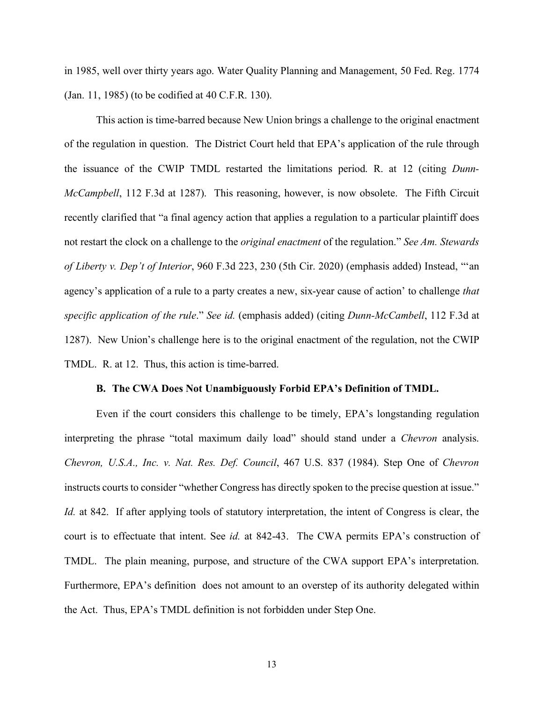in 1985, well over thirty years ago. Water Quality Planning and Management, 50 Fed. Reg. 1774 (Jan. 11, 1985) (to be codified at 40 C.F.R. 130).

This action is time-barred because New Union brings a challenge to the original enactment of the regulation in question. The District Court held that EPA's application of the rule through the issuance of the CWIP TMDL restarted the limitations period. R. at 12 (citing *Dunn-McCampbell*, 112 F.3d at 1287). This reasoning, however, is now obsolete. The Fifth Circuit recently clarified that "a final agency action that applies a regulation to a particular plaintiff does not restart the clock on a challenge to the *original enactment* of the regulation." *See Am. Stewards of Liberty v. Dep't of Interior*, 960 F.3d 223, 230 (5th Cir. 2020) (emphasis added) Instead, "'an agency's application of a rule to a party creates a new, six-year cause of action' to challenge *that specific application of the rule*." *See id.* (emphasis added) (citing *Dunn-McCambell*, 112 F.3d at 1287). New Union's challenge here is to the original enactment of the regulation, not the CWIP TMDL. R. at 12. Thus, this action is time-barred.

### **B. The CWA Does Not Unambiguously Forbid EPA's Definition of TMDL.**

Even if the court considers this challenge to be timely, EPA's longstanding regulation interpreting the phrase "total maximum daily load" should stand under a *Chevron* analysis. *Chevron, U.S.A., Inc. v. Nat. Res. Def. Council*, 467 U.S. 837 (1984). Step One of *Chevron* instructs courts to consider "whether Congress has directly spoken to the precise question at issue." *Id.* at 842. If after applying tools of statutory interpretation, the intent of Congress is clear, the court is to effectuate that intent. See *id.* at 842-43. The CWA permits EPA's construction of TMDL. The plain meaning, purpose, and structure of the CWA support EPA's interpretation. Furthermore, EPA's definition does not amount to an overstep of its authority delegated within the Act. Thus, EPA's TMDL definition is not forbidden under Step One.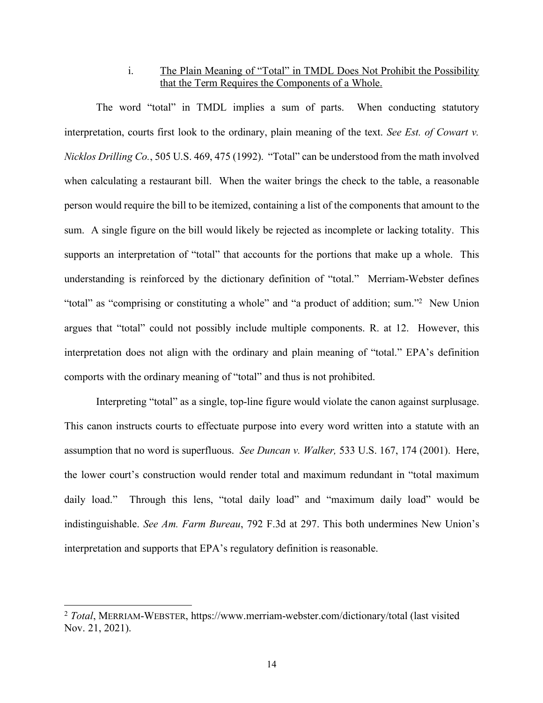# i. The Plain Meaning of "Total" in TMDL Does Not Prohibit the Possibility that the Term Requires the Components of a Whole.

The word "total" in TMDL implies a sum of parts. When conducting statutory interpretation, courts first look to the ordinary, plain meaning of the text. *See Est. of Cowart v. Nicklos Drilling Co.*, 505 U.S. 469, 475 (1992). "Total" can be understood from the math involved when calculating a restaurant bill. When the waiter brings the check to the table, a reasonable person would require the bill to be itemized, containing a list of the components that amount to the sum. A single figure on the bill would likely be rejected as incomplete or lacking totality. This supports an interpretation of "total" that accounts for the portions that make up a whole. This understanding is reinforced by the dictionary definition of "total." Merriam-Webster defines "total" as "comprising or constituting a whole" and "a product of addition; sum."2 New Union argues that "total" could not possibly include multiple components. R. at 12. However, this interpretation does not align with the ordinary and plain meaning of "total." EPA's definition comports with the ordinary meaning of "total" and thus is not prohibited.

Interpreting "total" as a single, top-line figure would violate the canon against surplusage. This canon instructs courts to effectuate purpose into every word written into a statute with an assumption that no word is superfluous. *See Duncan v. Walker,* 533 U.S. 167, 174 (2001). Here, the lower court's construction would render total and maximum redundant in "total maximum daily load." Through this lens, "total daily load" and "maximum daily load" would be indistinguishable. *See Am. Farm Bureau*, 792 F.3d at 297. This both undermines New Union's interpretation and supports that EPA's regulatory definition is reasonable.

<sup>2</sup> *Total*, MERRIAM-WEBSTER, https://www.merriam-webster.com/dictionary/total (last visited Nov. 21, 2021).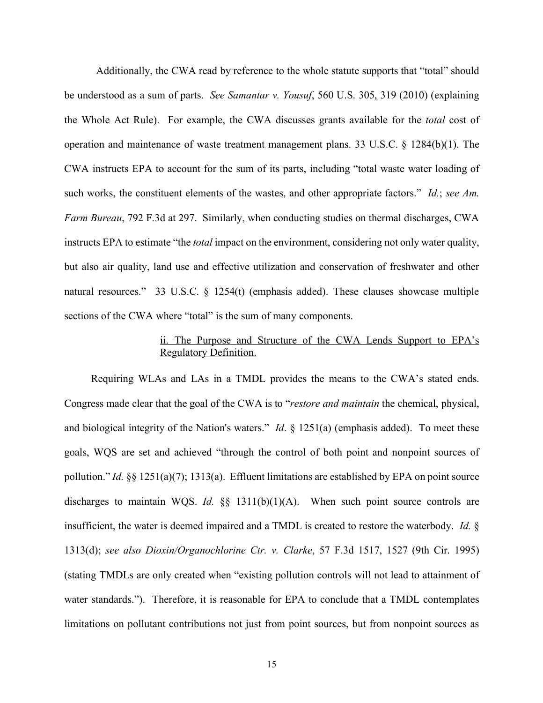Additionally, the CWA read by reference to the whole statute supports that "total" should be understood as a sum of parts. *See Samantar v. Yousuf*, 560 U.S. 305, 319 (2010) (explaining the Whole Act Rule). For example, the CWA discusses grants available for the *total* cost of operation and maintenance of waste treatment management plans. 33 U.S.C. § 1284(b)(1). The CWA instructs EPA to account for the sum of its parts, including "total waste water loading of such works, the constituent elements of the wastes, and other appropriate factors." *Id.*; *see Am. Farm Bureau*, 792 F.3d at 297. Similarly, when conducting studies on thermal discharges, CWA instructs EPA to estimate "the *total* impact on the environment, considering not only water quality, but also air quality, land use and effective utilization and conservation of freshwater and other natural resources." 33 U.S.C. § 1254(t) (emphasis added). These clauses showcase multiple sections of the CWA where "total" is the sum of many components.

### ii. The Purpose and Structure of the CWA Lends Support to EPA's Regulatory Definition.

Requiring WLAs and LAs in a TMDL provides the means to the CWA's stated ends. Congress made clear that the goal of the CWA is to "*restore and maintain* the chemical, physical, and biological integrity of the Nation's waters." *Id*. § 1251(a) (emphasis added). To meet these goals, WQS are set and achieved "through the control of both point and nonpoint sources of pollution." *Id.* §§ 1251(a)(7); 1313(a). Effluent limitations are established by EPA on point source discharges to maintain WQS. *Id.* §§ 1311(b)(1)(A). When such point source controls are insufficient, the water is deemed impaired and a TMDL is created to restore the waterbody. *Id.* § 1313(d); *see also Dioxin/Organochlorine Ctr. v. Clarke*, 57 F.3d 1517, 1527 (9th Cir. 1995) (stating TMDLs are only created when "existing pollution controls will not lead to attainment of water standards."). Therefore, it is reasonable for EPA to conclude that a TMDL contemplates limitations on pollutant contributions not just from point sources, but from nonpoint sources as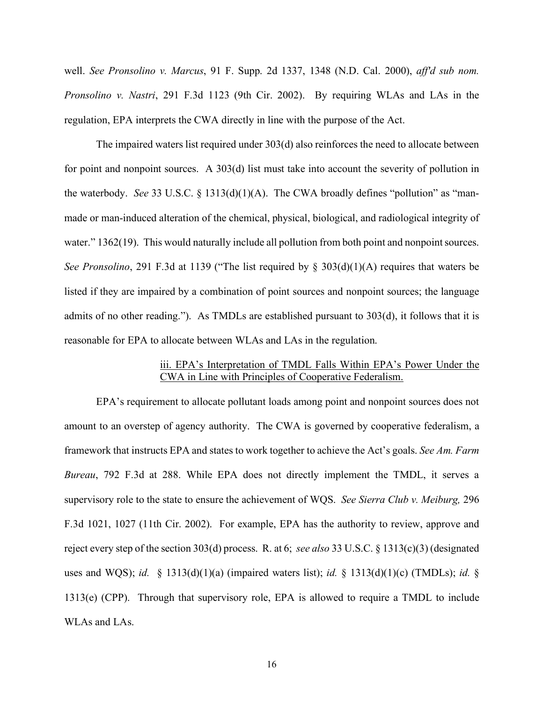well. *See Pronsolino v. Marcus*, 91 F. Supp. 2d 1337, 1348 (N.D. Cal. 2000), *aff'd sub nom. Pronsolino v. Nastri*, 291 F.3d 1123 (9th Cir. 2002). By requiring WLAs and LAs in the regulation, EPA interprets the CWA directly in line with the purpose of the Act.

The impaired waters list required under 303(d) also reinforces the need to allocate between for point and nonpoint sources. A 303(d) list must take into account the severity of pollution in the waterbody. *See* 33 U.S.C. § 1313(d)(1)(A). The CWA broadly defines "pollution" as "manmade or man-induced alteration of the chemical, physical, biological, and radiological integrity of water." 1362(19). This would naturally include all pollution from both point and nonpoint sources. *See Pronsolino*, 291 F.3d at 1139 ("The list required by § 303(d)(1)(A) requires that waters be listed if they are impaired by a combination of point sources and nonpoint sources; the language admits of no other reading."). As TMDLs are established pursuant to 303(d), it follows that it is reasonable for EPA to allocate between WLAs and LAs in the regulation.

### iii. EPA's Interpretation of TMDL Falls Within EPA's Power Under the CWA in Line with Principles of Cooperative Federalism.

EPA's requirement to allocate pollutant loads among point and nonpoint sources does not amount to an overstep of agency authority. The CWA is governed by cooperative federalism, a framework that instructs EPA and states to work together to achieve the Act's goals. *See Am. Farm Bureau*, 792 F.3d at 288. While EPA does not directly implement the TMDL, it serves a supervisory role to the state to ensure the achievement of WQS. *See Sierra Club v. Meiburg,* 296 F.3d 1021, 1027 (11th Cir. 2002). For example, EPA has the authority to review, approve and reject every step of the section 303(d) process. R. at 6; *see also* 33 U.S.C. § 1313(c)(3) (designated uses and WQS); *id.* § 1313(d)(1)(a) (impaired waters list); *id.* § 1313(d)(1)(c) (TMDLs); *id.* § 1313(e) (CPP). Through that supervisory role, EPA is allowed to require a TMDL to include WLAs and LAs.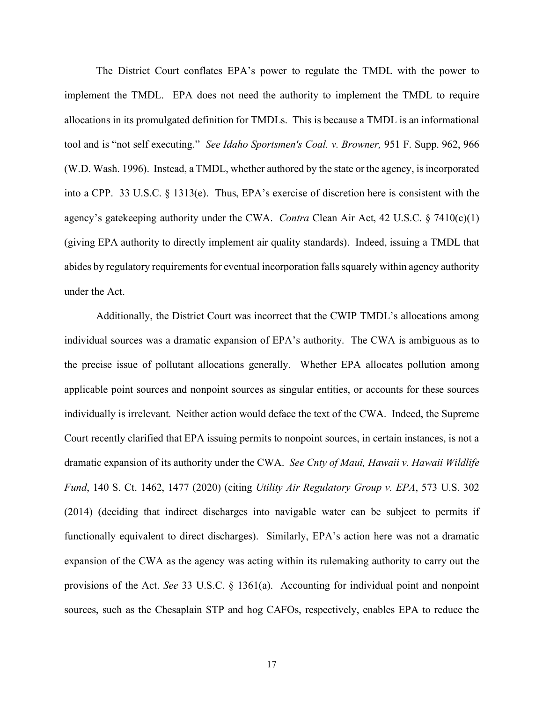The District Court conflates EPA's power to regulate the TMDL with the power to implement the TMDL. EPA does not need the authority to implement the TMDL to require allocations in its promulgated definition for TMDLs. This is because a TMDL is an informational tool and is "not self executing." *See Idaho Sportsmen's Coal. v. Browner,* 951 F. Supp. 962, 966 (W.D. Wash. 1996). Instead, a TMDL, whether authored by the state or the agency, is incorporated into a CPP. 33 U.S.C. § 1313(e). Thus, EPA's exercise of discretion here is consistent with the agency's gatekeeping authority under the CWA. *Contra* Clean Air Act, 42 U.S.C. § 7410(c)(1) (giving EPA authority to directly implement air quality standards). Indeed, issuing a TMDL that abides by regulatory requirements for eventual incorporation falls squarely within agency authority under the Act.

Additionally, the District Court was incorrect that the CWIP TMDL's allocations among individual sources was a dramatic expansion of EPA's authority. The CWA is ambiguous as to the precise issue of pollutant allocations generally. Whether EPA allocates pollution among applicable point sources and nonpoint sources as singular entities, or accounts for these sources individually is irrelevant. Neither action would deface the text of the CWA. Indeed, the Supreme Court recently clarified that EPA issuing permits to nonpoint sources, in certain instances, is not a dramatic expansion of its authority under the CWA. *See Cnty of Maui, Hawaii v. Hawaii Wildlife Fund*, 140 S. Ct. 1462, 1477 (2020) (citing *Utility Air Regulatory Group v. EPA*, 573 U.S. 302 (2014) (deciding that indirect discharges into navigable water can be subject to permits if functionally equivalent to direct discharges). Similarly, EPA's action here was not a dramatic expansion of the CWA as the agency was acting within its rulemaking authority to carry out the provisions of the Act. *See* 33 U.S.C. § 1361(a). Accounting for individual point and nonpoint sources, such as the Chesaplain STP and hog CAFOs, respectively, enables EPA to reduce the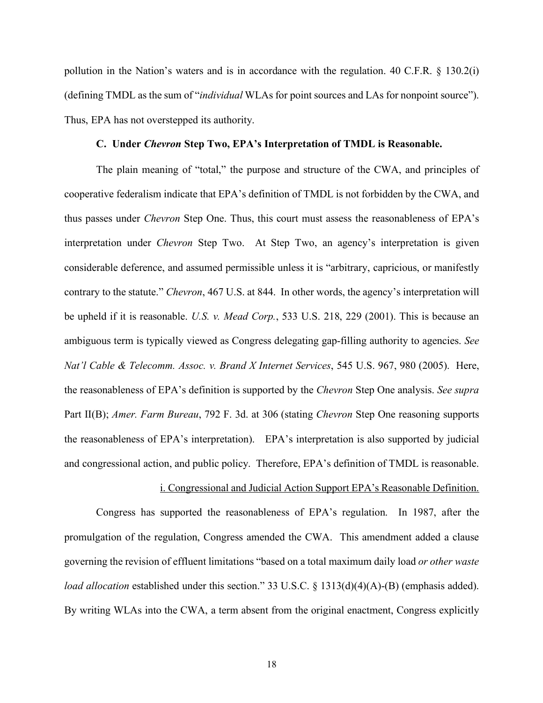pollution in the Nation's waters and is in accordance with the regulation. 40 C.F.R. § 130.2(i) (defining TMDL as the sum of "*individual* WLAs for point sources and LAs for nonpoint source"). Thus, EPA has not overstepped its authority.

### **C. Under** *Chevron* **Step Two, EPA's Interpretation of TMDL is Reasonable.**

The plain meaning of "total," the purpose and structure of the CWA, and principles of cooperative federalism indicate that EPA's definition of TMDL is not forbidden by the CWA, and thus passes under *Chevron* Step One. Thus, this court must assess the reasonableness of EPA's interpretation under *Chevron* Step Two. At Step Two, an agency's interpretation is given considerable deference, and assumed permissible unless it is "arbitrary, capricious, or manifestly contrary to the statute." *Chevron*, 467 U.S. at 844. In other words, the agency's interpretation will be upheld if it is reasonable. *U.S. v. Mead Corp.*, 533 U.S. 218, 229 (2001). This is because an ambiguous term is typically viewed as Congress delegating gap-filling authority to agencies. *See Nat'l Cable & Telecomm. Assoc. v. Brand X Internet Services*, 545 U.S. 967, 980 (2005). Here, the reasonableness of EPA's definition is supported by the *Chevron* Step One analysis. *See supra* Part II(B); *Amer. Farm Bureau*, 792 F. 3d. at 306 (stating *Chevron* Step One reasoning supports the reasonableness of EPA's interpretation). EPA's interpretation is also supported by judicial and congressional action, and public policy. Therefore, EPA's definition of TMDL is reasonable.

### i. Congressional and Judicial Action Support EPA's Reasonable Definition.

 Congress has supported the reasonableness of EPA's regulation. In 1987, after the promulgation of the regulation, Congress amended the CWA. This amendment added a clause governing the revision of effluent limitations "based on a total maximum daily load *or other waste load allocation* established under this section." 33 U.S.C. § 1313(d)(4)(A)-(B) (emphasis added). By writing WLAs into the CWA, a term absent from the original enactment, Congress explicitly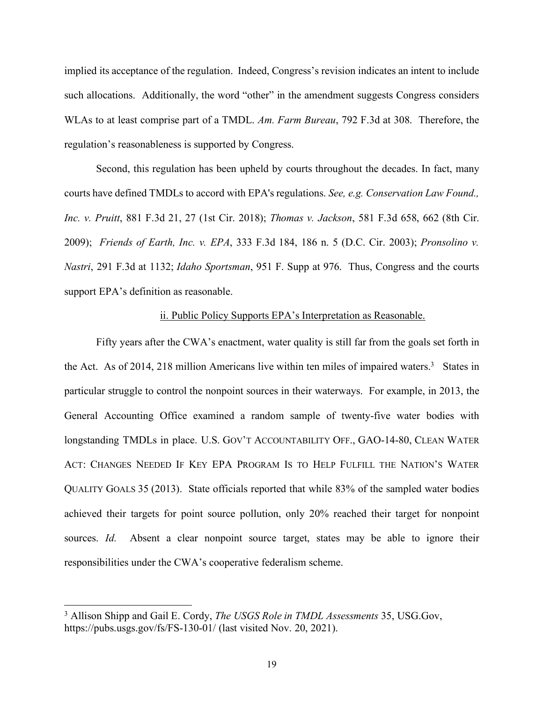implied its acceptance of the regulation. Indeed, Congress's revision indicates an intent to include such allocations. Additionally, the word "other" in the amendment suggests Congress considers WLAs to at least comprise part of a TMDL. *Am. Farm Bureau*, 792 F.3d at 308. Therefore, the regulation's reasonableness is supported by Congress.

 Second, this regulation has been upheld by courts throughout the decades. In fact, many courts have defined TMDLs to accord with EPA's regulations. *See, e.g. Conservation Law Found., Inc. v. Pruitt*, 881 F.3d 21, 27 (1st Cir. 2018); *Thomas v. Jackson*, 581 F.3d 658, 662 (8th Cir. 2009); *Friends of Earth, Inc. v. EPA*, 333 F.3d 184, 186 n. 5 (D.C. Cir. 2003); *Pronsolino v. Nastri*, 291 F.3d at 1132; *Idaho Sportsman*, 951 F. Supp at 976. Thus, Congress and the courts support EPA's definition as reasonable.

### ii. Public Policy Supports EPA's Interpretation as Reasonable.

Fifty years after the CWA's enactment, water quality is still far from the goals set forth in the Act. As of 2014, 218 million Americans live within ten miles of impaired waters. 3 States in particular struggle to control the nonpoint sources in their waterways. For example, in 2013, the General Accounting Office examined a random sample of twenty-five water bodies with longstanding TMDLs in place. U.S. GOV'T ACCOUNTABILITY OFF., GAO-14-80, CLEAN WATER ACT: CHANGES NEEDED IF KEY EPA PROGRAM IS TO HELP FULFILL THE NATION'S WATER QUALITY GOALS 35 (2013). State officials reported that while 83% of the sampled water bodies achieved their targets for point source pollution, only 20% reached their target for nonpoint sources. *Id.* Absent a clear nonpoint source target, states may be able to ignore their responsibilities under the CWA's cooperative federalism scheme.

<sup>3</sup> Allison Shipp and Gail E. Cordy, *The USGS Role in TMDL Assessments* 35, USG.Gov, https://pubs.usgs.gov/fs/FS-130-01/ (last visited Nov. 20, 2021).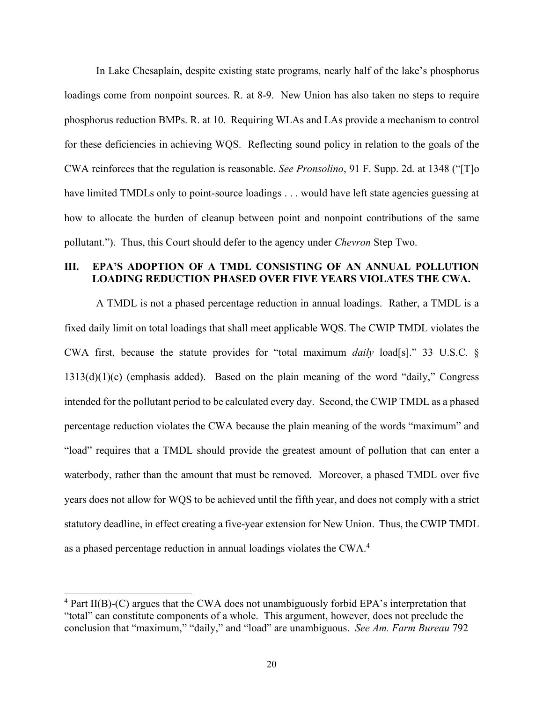In Lake Chesaplain, despite existing state programs, nearly half of the lake's phosphorus loadings come from nonpoint sources. R. at 8-9. New Union has also taken no steps to require phosphorus reduction BMPs. R. at 10. Requiring WLAs and LAs provide a mechanism to control for these deficiencies in achieving WQS. Reflecting sound policy in relation to the goals of the CWA reinforces that the regulation is reasonable. *See Pronsolino*, 91 F. Supp. 2d. at 1348 ("[T]o have limited TMDLs only to point-source loadings . . . would have left state agencies guessing at how to allocate the burden of cleanup between point and nonpoint contributions of the same pollutant."). Thus, this Court should defer to the agency under *Chevron* Step Two.

# **III. EPA'S ADOPTION OF A TMDL CONSISTING OF AN ANNUAL POLLUTION LOADING REDUCTION PHASED OVER FIVE YEARS VIOLATES THE CWA.**

A TMDL is not a phased percentage reduction in annual loadings. Rather, a TMDL is a fixed daily limit on total loadings that shall meet applicable WQS. The CWIP TMDL violates the CWA first, because the statute provides for "total maximum *daily* load[s]." 33 U.S.C. § 1313(d)(1)(c) (emphasis added). Based on the plain meaning of the word "daily," Congress intended for the pollutant period to be calculated every day. Second, the CWIP TMDL as a phased percentage reduction violates the CWA because the plain meaning of the words "maximum" and "load" requires that a TMDL should provide the greatest amount of pollution that can enter a waterbody, rather than the amount that must be removed. Moreover, a phased TMDL over five years does not allow for WQS to be achieved until the fifth year, and does not comply with a strict statutory deadline, in effect creating a five-year extension for New Union. Thus, the CWIP TMDL as a phased percentage reduction in annual loadings violates the CWA.4

<sup>4</sup> Part II(B)-(C) argues that the CWA does not unambiguously forbid EPA's interpretation that "total" can constitute components of a whole. This argument, however, does not preclude the conclusion that "maximum," "daily," and "load" are unambiguous. *See Am. Farm Bureau* 792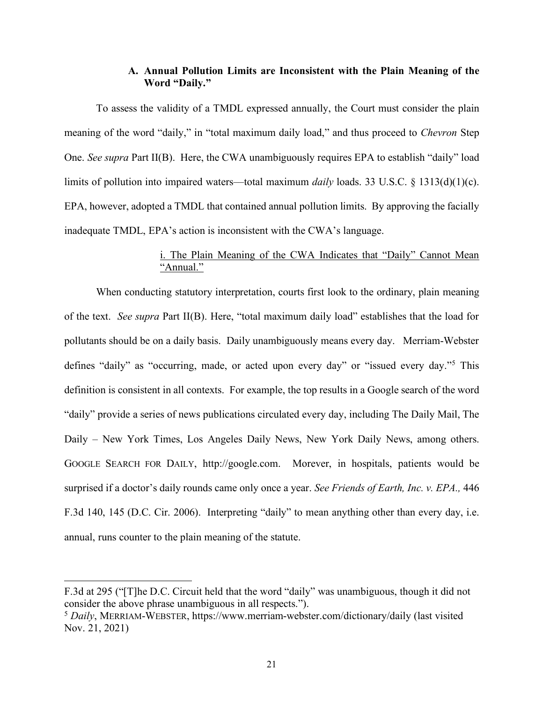### **A. Annual Pollution Limits are Inconsistent with the Plain Meaning of the Word "Daily."**

To assess the validity of a TMDL expressed annually, the Court must consider the plain meaning of the word "daily," in "total maximum daily load," and thus proceed to *Chevron* Step One. *See supra* Part II(B). Here, the CWA unambiguously requires EPA to establish "daily" load limits of pollution into impaired waters––total maximum *daily* loads. 33 U.S.C. § 1313(d)(1)(c). EPA, however, adopted a TMDL that contained annual pollution limits. By approving the facially inadequate TMDL, EPA's action is inconsistent with the CWA's language.

# i. The Plain Meaning of the CWA Indicates that "Daily" Cannot Mean "Annual."

When conducting statutory interpretation, courts first look to the ordinary, plain meaning of the text. *See supra* Part II(B). Here, "total maximum daily load" establishes that the load for pollutants should be on a daily basis. Daily unambiguously means every day. Merriam-Webster defines "daily" as "occurring, made, or acted upon every day" or "issued every day."5 This definition is consistent in all contexts. For example, the top results in a Google search of the word "daily" provide a series of news publications circulated every day, including The Daily Mail, The Daily – New York Times, Los Angeles Daily News, New York Daily News, among others. GOOGLE SEARCH FOR DAILY, http://google.com. Morever, in hospitals, patients would be surprised if a doctor's daily rounds came only once a year. *See Friends of Earth, Inc. v. EPA.,* 446 F.3d 140, 145 (D.C. Cir. 2006). Interpreting "daily" to mean anything other than every day, i.e. annual, runs counter to the plain meaning of the statute.

 $\overline{a}$ 

F.3d at 295 ("[T]he D.C. Circuit held that the word "daily" was unambiguous, though it did not consider the above phrase unambiguous in all respects.").

<sup>5</sup> *Daily*, MERRIAM-WEBSTER, https://www.merriam-webster.com/dictionary/daily (last visited Nov. 21, 2021)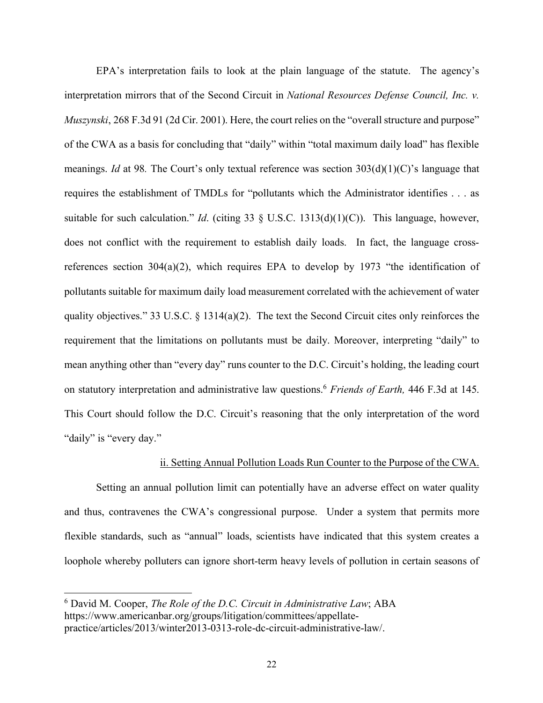EPA's interpretation fails to look at the plain language of the statute. The agency's interpretation mirrors that of the Second Circuit in *National Resources Defense Council, Inc. v. Muszynski*, 268 F.3d 91 (2d Cir. 2001). Here, the court relies on the "overall structure and purpose" of the CWA as a basis for concluding that "daily" within "total maximum daily load" has flexible meanings. *Id* at 98*.* The Court's only textual reference was section 303(d)(1)(C)'s language that requires the establishment of TMDLs for "pollutants which the Administrator identifies . . . as suitable for such calculation." *Id*. (citing 33 § U.S.C. 1313(d)(1)(C)). This language, however, does not conflict with the requirement to establish daily loads. In fact, the language crossreferences section  $304(a)(2)$ , which requires EPA to develop by 1973 "the identification of pollutants suitable for maximum daily load measurement correlated with the achievement of water quality objectives." 33 U.S.C. § 1314(a)(2). The text the Second Circuit cites only reinforces the requirement that the limitations on pollutants must be daily. Moreover, interpreting "daily" to mean anything other than "every day" runs counter to the D.C. Circuit's holding, the leading court on statutory interpretation and administrative law questions.6 *Friends of Earth,* 446 F.3d at 145. This Court should follow the D.C. Circuit's reasoning that the only interpretation of the word "daily" is "every day."

### ii. Setting Annual Pollution Loads Run Counter to the Purpose of the CWA.

Setting an annual pollution limit can potentially have an adverse effect on water quality and thus, contravenes the CWA's congressional purpose. Under a system that permits more flexible standards, such as "annual" loads, scientists have indicated that this system creates a loophole whereby polluters can ignore short-term heavy levels of pollution in certain seasons of

<sup>6</sup> David M. Cooper, *The Role of the D.C. Circuit in Administrative Law*; ABA https://www.americanbar.org/groups/litigation/committees/appellatepractice/articles/2013/winter2013-0313-role-dc-circuit-administrative-law/.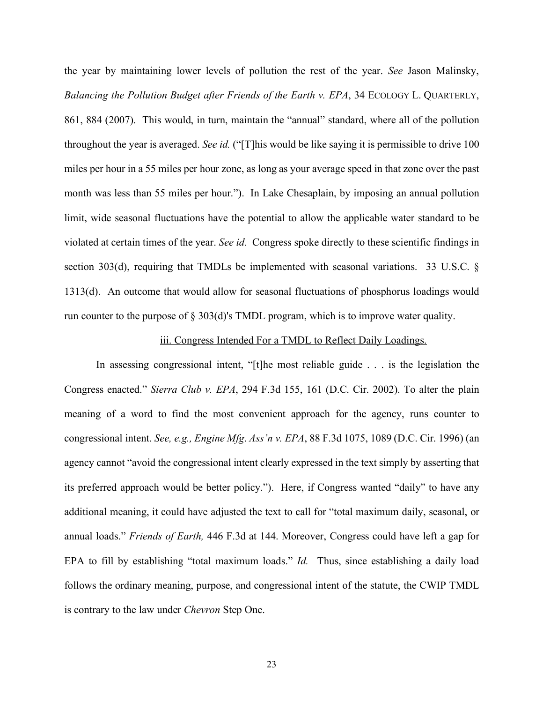the year by maintaining lower levels of pollution the rest of the year. *See* Jason Malinsky, *Balancing the Pollution Budget after Friends of the Earth v. EPA*, 34 ECOLOGY L. QUARTERLY, 861, 884 (2007). This would, in turn, maintain the "annual" standard, where all of the pollution throughout the year is averaged. *See id.* ("[T]his would be like saying it is permissible to drive 100 miles per hour in a 55 miles per hour zone, as long as your average speed in that zone over the past month was less than 55 miles per hour."). In Lake Chesaplain, by imposing an annual pollution limit, wide seasonal fluctuations have the potential to allow the applicable water standard to be violated at certain times of the year. *See id.* Congress spoke directly to these scientific findings in section 303(d), requiring that TMDLs be implemented with seasonal variations. 33 U.S.C. § 1313(d). An outcome that would allow for seasonal fluctuations of phosphorus loadings would run counter to the purpose of § 303(d)'s TMDL program, which is to improve water quality.

#### iii. Congress Intended For a TMDL to Reflect Daily Loadings.

In assessing congressional intent, "[t]he most reliable guide . . . is the legislation the Congress enacted." *Sierra Club v. EPA*, 294 F.3d 155, 161 (D.C. Cir. 2002). To alter the plain meaning of a word to find the most convenient approach for the agency, runs counter to congressional intent. *See, e.g., Engine Mfg*. *Ass'n v. EPA*, 88 F.3d 1075, 1089 (D.C. Cir. 1996) (an agency cannot "avoid the congressional intent clearly expressed in the text simply by asserting that its preferred approach would be better policy."). Here, if Congress wanted "daily" to have any additional meaning, it could have adjusted the text to call for "total maximum daily, seasonal, or annual loads." *Friends of Earth,* 446 F.3d at 144. Moreover, Congress could have left a gap for EPA to fill by establishing "total maximum loads." *Id.* Thus, since establishing a daily load follows the ordinary meaning, purpose, and congressional intent of the statute, the CWIP TMDL is contrary to the law under *Chevron* Step One.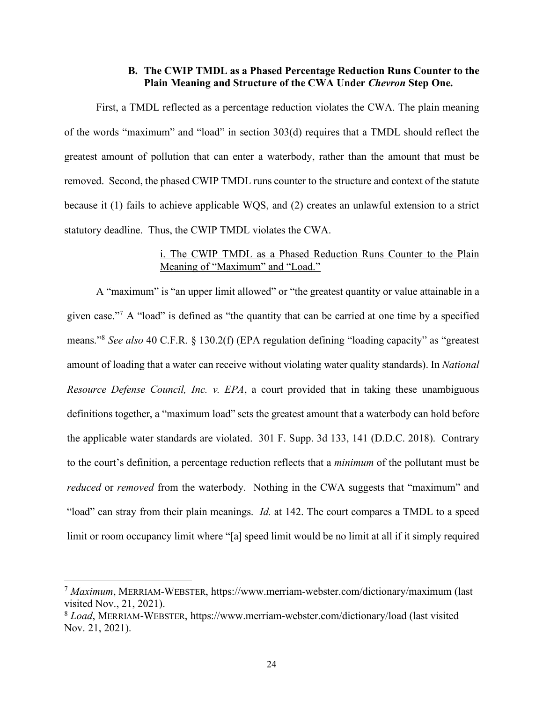### **B. The CWIP TMDL as a Phased Percentage Reduction Runs Counter to the Plain Meaning and Structure of the CWA Under** *Chevron* **Step One.**

First, a TMDL reflected as a percentage reduction violates the CWA. The plain meaning of the words "maximum" and "load" in section 303(d) requires that a TMDL should reflect the greatest amount of pollution that can enter a waterbody, rather than the amount that must be removed. Second, the phased CWIP TMDL runs counter to the structure and context of the statute because it (1) fails to achieve applicable WQS, and (2) creates an unlawful extension to a strict statutory deadline. Thus, the CWIP TMDL violates the CWA.

# i. The CWIP TMDL as a Phased Reduction Runs Counter to the Plain Meaning of "Maximum" and "Load."

A "maximum" is "an upper limit allowed" or "the greatest quantity or value attainable in a given case."7 A "load" is defined as "the quantity that can be carried at one time by a specified means."8 *See also* 40 C.F.R. § 130.2(f) (EPA regulation defining "loading capacity" as "greatest amount of loading that a water can receive without violating water quality standards). In *National Resource Defense Council, Inc. v. EPA*, a court provided that in taking these unambiguous definitions together, a "maximum load" sets the greatest amount that a waterbody can hold before the applicable water standards are violated. 301 F. Supp. 3d 133, 141 (D.D.C. 2018). Contrary to the court's definition, a percentage reduction reflects that a *minimum* of the pollutant must be *reduced* or *removed* from the waterbody. Nothing in the CWA suggests that "maximum" and "load" can stray from their plain meanings. *Id.* at 142. The court compares a TMDL to a speed limit or room occupancy limit where "[a] speed limit would be no limit at all if it simply required

 $\overline{a}$ 

<sup>7</sup> *Maximum*, MERRIAM-WEBSTER, https://www.merriam-webster.com/dictionary/maximum (last visited Nov., 21, 2021).

<sup>8</sup> *Load*, MERRIAM-WEBSTER, https://www.merriam-webster.com/dictionary/load (last visited Nov. 21, 2021).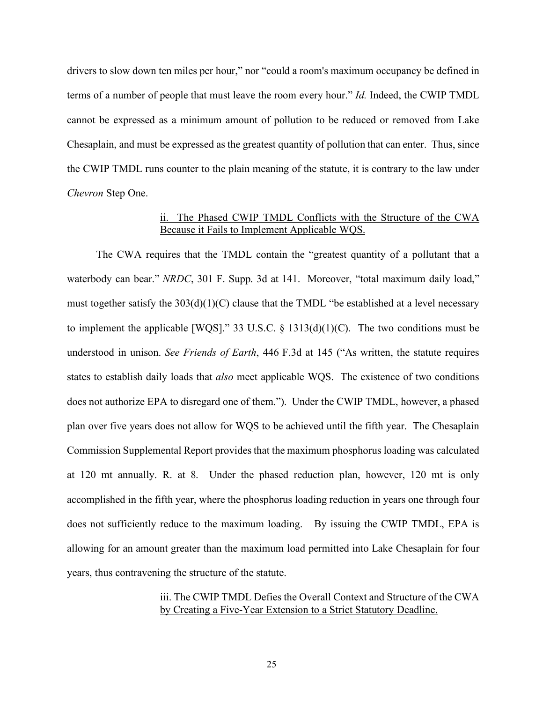drivers to slow down ten miles per hour," nor "could a room's maximum occupancy be defined in terms of a number of people that must leave the room every hour." *Id.* Indeed, the CWIP TMDL cannot be expressed as a minimum amount of pollution to be reduced or removed from Lake Chesaplain, and must be expressed as the greatest quantity of pollution that can enter. Thus, since the CWIP TMDL runs counter to the plain meaning of the statute, it is contrary to the law under *Chevron* Step One.

# ii. The Phased CWIP TMDL Conflicts with the Structure of the CWA Because it Fails to Implement Applicable WQS.

The CWA requires that the TMDL contain the "greatest quantity of a pollutant that a waterbody can bear." *NRDC*, 301 F. Supp. 3d at 141. Moreover, "total maximum daily load," must together satisfy the 303(d)(1)(C) clause that the TMDL "be established at a level necessary to implement the applicable [WQS]." 33 U.S.C.  $\S$  1313(d)(1)(C). The two conditions must be understood in unison. *See Friends of Earth*, 446 F.3d at 145 ("As written, the statute requires states to establish daily loads that *also* meet applicable WQS. The existence of two conditions does not authorize EPA to disregard one of them."). Under the CWIP TMDL, however, a phased plan over five years does not allow for WQS to be achieved until the fifth year. The Chesaplain Commission Supplemental Report provides that the maximum phosphorus loading was calculated at 120 mt annually. R. at 8. Under the phased reduction plan, however, 120 mt is only accomplished in the fifth year, where the phosphorus loading reduction in years one through four does not sufficiently reduce to the maximum loading. By issuing the CWIP TMDL, EPA is allowing for an amount greater than the maximum load permitted into Lake Chesaplain for four years, thus contravening the structure of the statute.

# iii. The CWIP TMDL Defies the Overall Context and Structure of the CWA by Creating a Five-Year Extension to a Strict Statutory Deadline.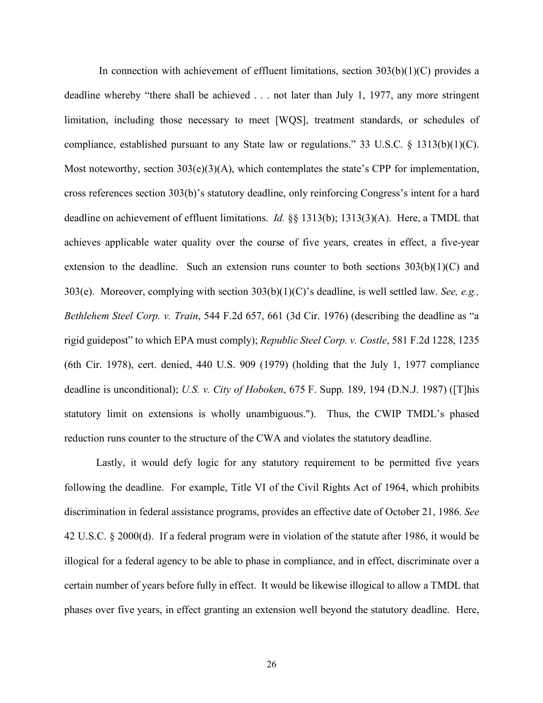In connection with achievement of effluent limitations, section  $303(b)(1)(C)$  provides a deadline whereby "there shall be achieved . . . not later than July 1, 1977, any more stringent limitation, including those necessary to meet [WQS], treatment standards, or schedules of compliance, established pursuant to any State law or regulations." 33 U.S.C. § 1313(b)(1)(C). Most noteworthy, section 303(e)(3)(A), which contemplates the state's CPP for implementation, cross references section 303(b)'s statutory deadline, only reinforcing Congress's intent for a hard deadline on achievement of effluent limitations. *Id.* §§ 1313(b); 1313(3)(A). Here, a TMDL that achieves applicable water quality over the course of five years, creates in effect, a five-year extension to the deadline. Such an extension runs counter to both sections  $303(b)(1)(C)$  and 303(e). Moreover, complying with section 303(b)(1)(C)'s deadline, is well settled law. *See, e.g., Bethlehem Steel Corp. v. Train*, 544 F.2d 657, 661 (3d Cir. 1976) (describing the deadline as "a rigid guidepost" to which EPA must comply); *Republic Steel Corp. v. Costle*, 581 F.2d 1228, 1235 (6th Cir. 1978), cert. denied, 440 U.S. 909 (1979) (holding that the July 1, 1977 compliance deadline is unconditional); *U.S. v. City of Hoboken*, 675 F. Supp. 189, 194 (D.N.J. 1987) ([T]his statutory limit on extensions is wholly unambiguous."). Thus, the CWIP TMDL's phased reduction runs counter to the structure of the CWA and violates the statutory deadline.

Lastly, it would defy logic for any statutory requirement to be permitted five years following the deadline. For example, Title VI of the Civil Rights Act of 1964, which prohibits discrimination in federal assistance programs, provides an effective date of October 21, 1986. *See*  42 U.S.C. § 2000(d). If a federal program were in violation of the statute after 1986, it would be illogical for a federal agency to be able to phase in compliance, and in effect, discriminate over a certain number of years before fully in effect. It would be likewise illogical to allow a TMDL that phases over five years, in effect granting an extension well beyond the statutory deadline. Here,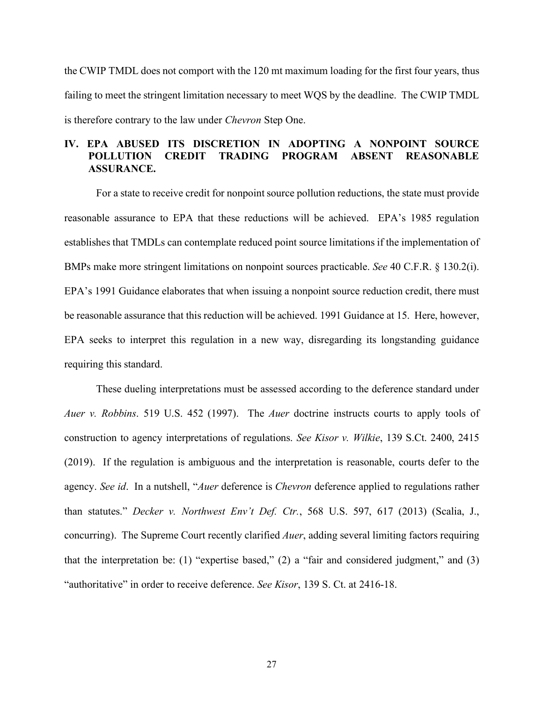the CWIP TMDL does not comport with the 120 mt maximum loading for the first four years, thus failing to meet the stringent limitation necessary to meet WQS by the deadline. The CWIP TMDL is therefore contrary to the law under *Chevron* Step One.

# **IV. EPA ABUSED ITS DISCRETION IN ADOPTING A NONPOINT SOURCE POLLUTION CREDIT TRADING PROGRAM ABSENT REASONABLE ASSURANCE.**

For a state to receive credit for nonpoint source pollution reductions, the state must provide reasonable assurance to EPA that these reductions will be achieved. EPA's 1985 regulation establishes that TMDLs can contemplate reduced point source limitations if the implementation of BMPs make more stringent limitations on nonpoint sources practicable. *See* 40 C.F.R. § 130.2(i). EPA's 1991 Guidance elaborates that when issuing a nonpoint source reduction credit, there must be reasonable assurance that this reduction will be achieved. 1991 Guidance at 15. Here, however, EPA seeks to interpret this regulation in a new way, disregarding its longstanding guidance requiring this standard.

These dueling interpretations must be assessed according to the deference standard under *Auer v. Robbins*. 519 U.S. 452 (1997). The *Auer* doctrine instructs courts to apply tools of construction to agency interpretations of regulations. *See Kisor v. Wilkie*, 139 S.Ct. 2400, 2415 (2019). If the regulation is ambiguous and the interpretation is reasonable, courts defer to the agency. *See id*. In a nutshell, "*Auer* deference is *Chevron* deference applied to regulations rather than statutes." *Decker v. Northwest Env't Def. Ctr.*, 568 U.S. 597, 617 (2013) (Scalia, J., concurring). The Supreme Court recently clarified *Auer*, adding several limiting factors requiring that the interpretation be: (1) "expertise based," (2) a "fair and considered judgment," and (3) "authoritative" in order to receive deference. *See Kisor*, 139 S. Ct. at 2416-18.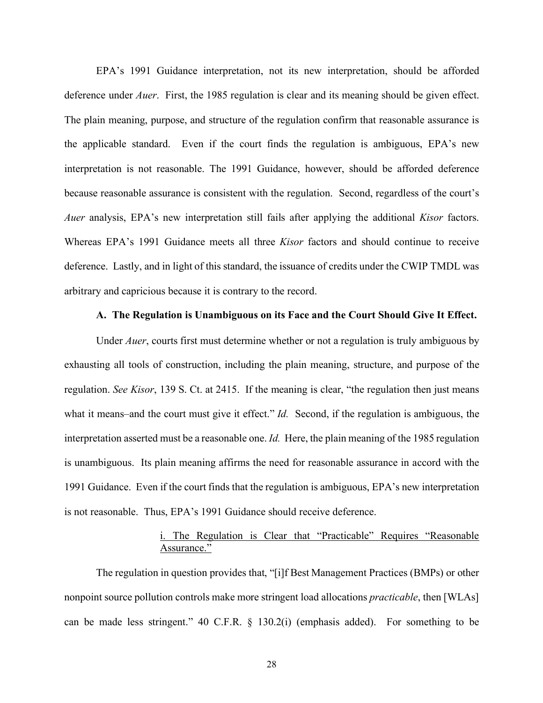EPA's 1991 Guidance interpretation, not its new interpretation, should be afforded deference under *Auer*. First, the 1985 regulation is clear and its meaning should be given effect. The plain meaning, purpose, and structure of the regulation confirm that reasonable assurance is the applicable standard. Even if the court finds the regulation is ambiguous, EPA's new interpretation is not reasonable. The 1991 Guidance, however, should be afforded deference because reasonable assurance is consistent with the regulation. Second, regardless of the court's *Auer* analysis, EPA's new interpretation still fails after applying the additional *Kisor* factors. Whereas EPA's 1991 Guidance meets all three *Kisor* factors and should continue to receive deference. Lastly, and in light of this standard, the issuance of credits under the CWIP TMDL was arbitrary and capricious because it is contrary to the record.

### **A. The Regulation is Unambiguous on its Face and the Court Should Give It Effect.**

Under *Auer*, courts first must determine whether or not a regulation is truly ambiguous by exhausting all tools of construction, including the plain meaning, structure, and purpose of the regulation. *See Kisor*, 139 S. Ct. at 2415. If the meaning is clear, "the regulation then just means what it means–and the court must give it effect." *Id.* Second, if the regulation is ambiguous, the interpretation asserted must be a reasonable one. *Id.* Here, the plain meaning of the 1985 regulation is unambiguous. Its plain meaning affirms the need for reasonable assurance in accord with the 1991 Guidance. Even if the court finds that the regulation is ambiguous, EPA's new interpretation is not reasonable. Thus, EPA's 1991 Guidance should receive deference.

# i. The Regulation is Clear that "Practicable" Requires "Reasonable Assurance."

The regulation in question provides that, "[i]f Best Management Practices (BMPs) or other nonpoint source pollution controls make more stringent load allocations *practicable*, then [WLAs] can be made less stringent." 40 C.F.R. § 130.2(i) (emphasis added). For something to be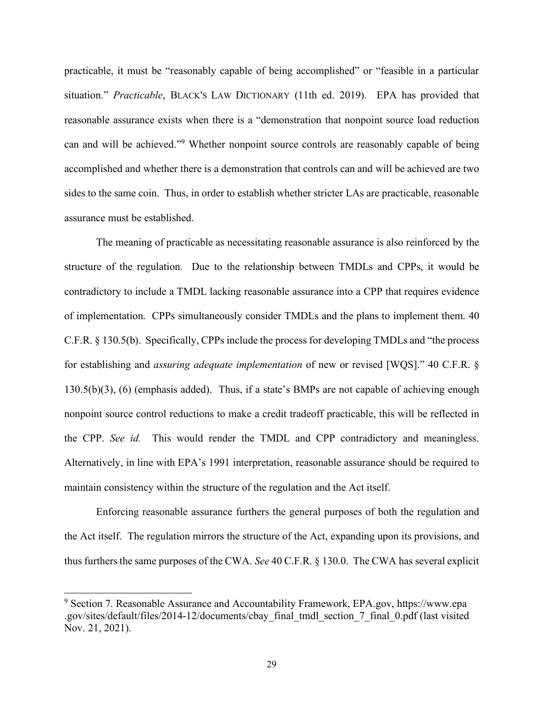practicable, it must be "reasonably capable of being accomplished" or "feasible in a particular situation." *Practicable*, BLACK'S LAW DICTIONARY (11th ed. 2019). EPA has provided that reasonable assurance exists when there is a "demonstration that nonpoint source load reduction can and will be achieved."9 Whether nonpoint source controls are reasonably capable of being accomplished and whether there is a demonstration that controls can and will be achieved are two sides to the same coin. Thus, in order to establish whether stricter LAs are practicable, reasonable assurance must be established.

The meaning of practicable as necessitating reasonable assurance is also reinforced by the structure of the regulation. Due to the relationship between TMDLs and CPPs, it would be contradictory to include a TMDL lacking reasonable assurance into a CPP that requires evidence of implementation. CPPs simultaneously consider TMDLs and the plans to implement them. 40 C.F.R. § 130.5(b). Specifically, CPPs include the process for developing TMDLs and "the process for establishing and *assuring adequate implementation* of new or revised [WQS]." 40 C.F.R. § 130.5(b)(3), (6) (emphasis added). Thus, if a state's BMPs are not capable of achieving enough nonpoint source control reductions to make a credit tradeoff practicable, this will be reflected in the CPP. *See id.* This would render the TMDL and CPP contradictory and meaningless. Alternatively, in line with EPA's 1991 interpretation, reasonable assurance should be required to maintain consistency within the structure of the regulation and the Act itself.

Enforcing reasonable assurance furthers the general purposes of both the regulation and the Act itself. The regulation mirrors the structure of the Act, expanding upon its provisions, and thus furthers the same purposes of the CWA. *See* 40 C.F.R. § 130.0. The CWA has several explicit

<sup>9</sup> Section 7. Reasonable Assurance and Accountability Framework, EPA.gov, https://www.epa .gov/sites/default/files/2014-12/documents/cbay\_final\_tmdl\_section\_7\_final\_0.pdf (last visited Nov. 21, 2021).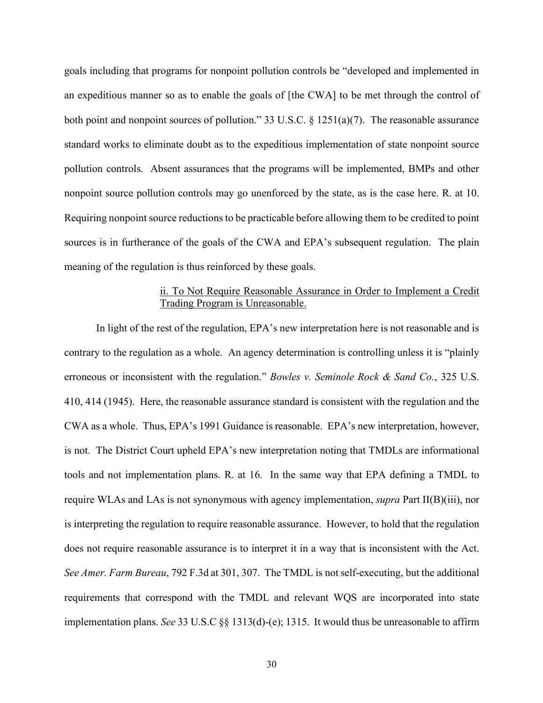goals including that programs for nonpoint pollution controls be "developed and implemented in an expeditious manner so as to enable the goals of [the CWA] to be met through the control of both point and nonpoint sources of pollution." 33 U.S.C. § 1251(a)(7). The reasonable assurance standard works to eliminate doubt as to the expeditious implementation of state nonpoint source pollution controls. Absent assurances that the programs will be implemented, BMPs and other nonpoint source pollution controls may go unenforced by the state, as is the case here. R. at 10. Requiring nonpoint source reductions to be practicable before allowing them to be credited to point sources is in furtherance of the goals of the CWA and EPA's subsequent regulation. The plain meaning of the regulation is thus reinforced by these goals.

### ii. To Not Require Reasonable Assurance in Order to Implement a Credit Trading Program is Unreasonable.

In light of the rest of the regulation, EPA's new interpretation here is not reasonable and is contrary to the regulation as a whole. An agency determination is controlling unless it is "plainly erroneous or inconsistent with the regulation." *Bowles v. Seminole Rock & Sand Co.*, 325 U.S. 410, 414 (1945). Here, the reasonable assurance standard is consistent with the regulation and the CWA as a whole. Thus, EPA's 1991 Guidance is reasonable. EPA's new interpretation, however, is not. The District Court upheld EPA's new interpretation noting that TMDLs are informational tools and not implementation plans. R. at 16. In the same way that EPA defining a TMDL to require WLAs and LAs is not synonymous with agency implementation, *supra* Part II(B)(iii), nor is interpreting the regulation to require reasonable assurance. However, to hold that the regulation does not require reasonable assurance is to interpret it in a way that is inconsistent with the Act. *See Amer. Farm Bureau*, 792 F.3d at 301, 307. The TMDL is not self-executing, but the additional requirements that correspond with the TMDL and relevant WQS are incorporated into state implementation plans. *See* 33 U.S.C §§ 1313(d)-(e); 1315. It would thus be unreasonable to affirm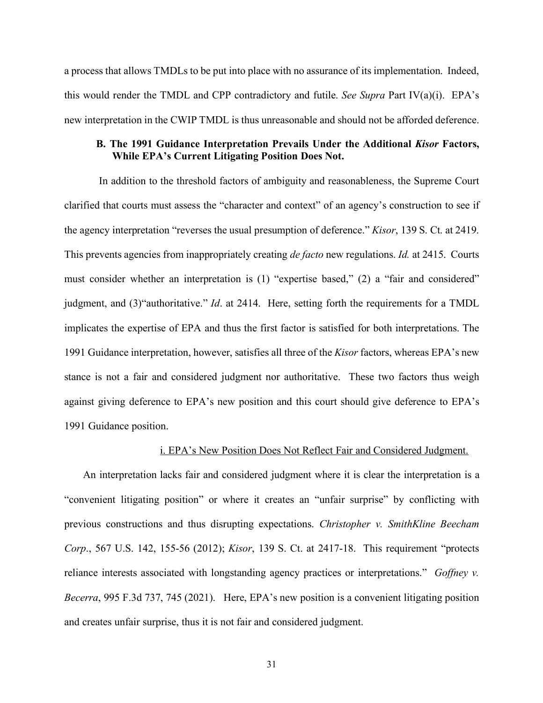a process that allows TMDLs to be put into place with no assurance of its implementation. Indeed, this would render the TMDL and CPP contradictory and futile. *See Supra* Part IV(a)(i). EPA's new interpretation in the CWIP TMDL is thus unreasonable and should not be afforded deference.

### **B. The 1991 Guidance Interpretation Prevails Under the Additional** *Kisor* **Factors, While EPA's Current Litigating Position Does Not.**

In addition to the threshold factors of ambiguity and reasonableness, the Supreme Court clarified that courts must assess the "character and context" of an agency's construction to see if the agency interpretation "reverses the usual presumption of deference." *Kisor*, 139 S. Ct. at 2419. This prevents agencies from inappropriately creating *de facto* new regulations. *Id.* at 2415. Courts must consider whether an interpretation is (1) "expertise based," (2) a "fair and considered" judgment, and (3)"authoritative." *Id*. at 2414. Here, setting forth the requirements for a TMDL implicates the expertise of EPA and thus the first factor is satisfied for both interpretations. The 1991 Guidance interpretation, however, satisfies all three of the *Kisor* factors, whereas EPA's new stance is not a fair and considered judgment nor authoritative. These two factors thus weigh against giving deference to EPA's new position and this court should give deference to EPA's 1991 Guidance position.

#### i. EPA's New Position Does Not Reflect Fair and Considered Judgment.

An interpretation lacks fair and considered judgment where it is clear the interpretation is a "convenient litigating position" or where it creates an "unfair surprise" by conflicting with previous constructions and thus disrupting expectations. *Christopher v. SmithKline Beecham Corp*., 567 U.S. 142, 155-56 (2012); *Kisor*, 139 S. Ct. at 2417-18. This requirement "protects reliance interests associated with longstanding agency practices or interpretations." *Goffney v. Becerra*, 995 F.3d 737, 745 (2021). Here, EPA's new position is a convenient litigating position and creates unfair surprise, thus it is not fair and considered judgment.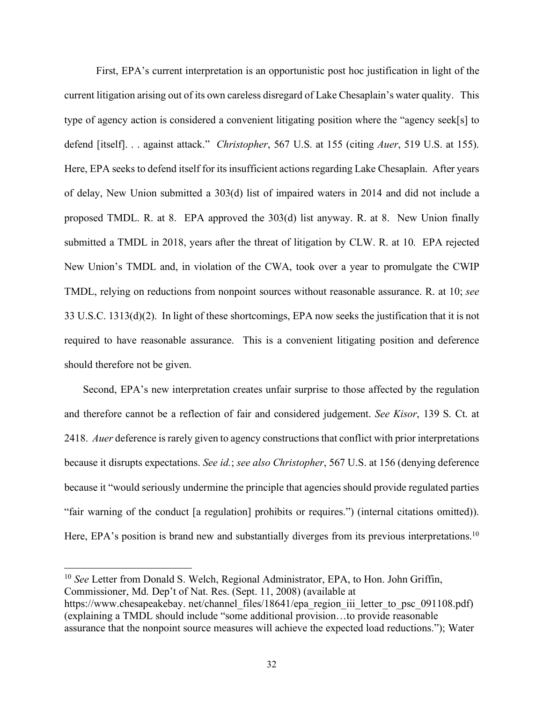First, EPA's current interpretation is an opportunistic post hoc justification in light of the current litigation arising out of its own careless disregard of Lake Chesaplain's water quality. This type of agency action is considered a convenient litigating position where the "agency seek[s] to defend [itself]. . . against attack." *Christopher*, 567 U.S. at 155 (citing *Auer*, 519 U.S. at 155). Here, EPA seeks to defend itself for its insufficient actions regarding Lake Chesaplain. After years of delay, New Union submitted a 303(d) list of impaired waters in 2014 and did not include a proposed TMDL. R. at 8. EPA approved the 303(d) list anyway. R. at 8. New Union finally submitted a TMDL in 2018, years after the threat of litigation by CLW. R. at 10. EPA rejected New Union's TMDL and, in violation of the CWA, took over a year to promulgate the CWIP TMDL, relying on reductions from nonpoint sources without reasonable assurance. R. at 10; *see*  33 U.S.C. 1313(d)(2). In light of these shortcomings, EPA now seeks the justification that it is not required to have reasonable assurance. This is a convenient litigating position and deference should therefore not be given.

Second, EPA's new interpretation creates unfair surprise to those affected by the regulation and therefore cannot be a reflection of fair and considered judgement. *See Kisor*, 139 S. Ct. at 2418. *Auer* deference is rarely given to agency constructions that conflict with prior interpretations because it disrupts expectations. *See id.*; *see also Christopher*, 567 U.S. at 156 (denying deference because it "would seriously undermine the principle that agencies should provide regulated parties "fair warning of the conduct [a regulation] prohibits or requires.") (internal citations omitted)). Here, EPA's position is brand new and substantially diverges from its previous interpretations.<sup>10</sup>

<sup>10</sup> *See* Letter from Donald S. Welch, Regional Administrator, EPA, to Hon. John Griffin, Commissioner, Md. Dep't of Nat. Res. (Sept. 11, 2008) (available at https://www.chesapeakebay. net/channel\_files/18641/epa\_region\_iii\_letter\_to\_psc\_091108.pdf) (explaining a TMDL should include "some additional provision…to provide reasonable assurance that the nonpoint source measures will achieve the expected load reductions."); Water

 $\overline{a}$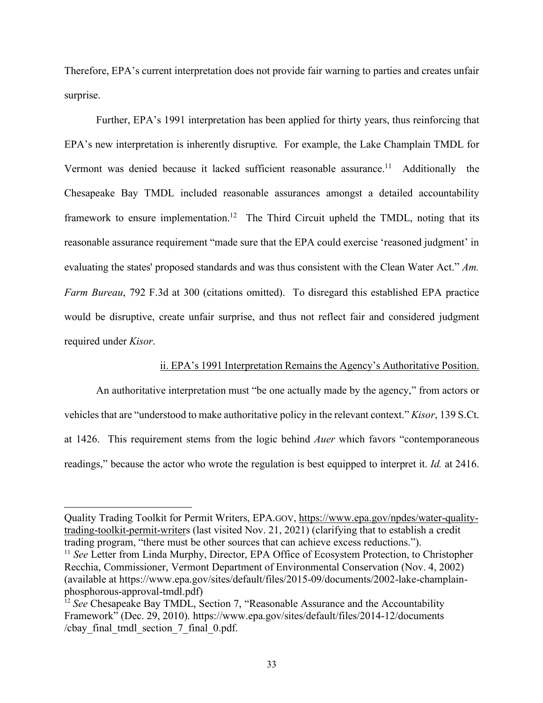Therefore, EPA's current interpretation does not provide fair warning to parties and creates unfair surprise.

Further, EPA's 1991 interpretation has been applied for thirty years, thus reinforcing that EPA's new interpretation is inherently disruptive. For example, the Lake Champlain TMDL for Vermont was denied because it lacked sufficient reasonable assurance.<sup>11</sup> Additionally the Chesapeake Bay TMDL included reasonable assurances amongst a detailed accountability framework to ensure implementation.<sup>12</sup> The Third Circuit upheld the TMDL, noting that its reasonable assurance requirement "made sure that the EPA could exercise 'reasoned judgment' in evaluating the states' proposed standards and was thus consistent with the Clean Water Act." *Am. Farm Bureau*, 792 F.3d at 300 (citations omitted). To disregard this established EPA practice would be disruptive, create unfair surprise, and thus not reflect fair and considered judgment required under *Kisor*.

### ii. EPA's 1991 Interpretation Remains the Agency's Authoritative Position.

An authoritative interpretation must "be one actually made by the agency," from actors or vehicles that are "understood to make authoritative policy in the relevant context." *Kisor*, 139 S.Ct. at 1426. This requirement stems from the logic behind *Auer* which favors "contemporaneous readings," because the actor who wrote the regulation is best equipped to interpret it. *Id.* at 2416.

Quality Trading Toolkit for Permit Writers, EPA.GOV, https://www.epa.gov/npdes/water-qualitytrading-toolkit-permit-writers (last visited Nov. 21, 2021) (clarifying that to establish a credit trading program, "there must be other sources that can achieve excess reductions.").

<sup>&</sup>lt;sup>11</sup> See Letter from Linda Murphy, Director, EPA Office of Ecosystem Protection, to Christopher Recchia, Commissioner, Vermont Department of Environmental Conservation (Nov. 4, 2002) (available at https://www.epa.gov/sites/default/files/2015-09/documents/2002-lake-champlainphosphorous-approval-tmdl.pdf)

<sup>&</sup>lt;sup>12</sup> *See* Chesapeake Bay TMDL, Section 7, "Reasonable Assurance and the Accountability Framework" (Dec. 29, 2010). https://www.epa.gov/sites/default/files/2014-12/documents /cbay\_final\_tmdl\_section\_7\_final\_0.pdf.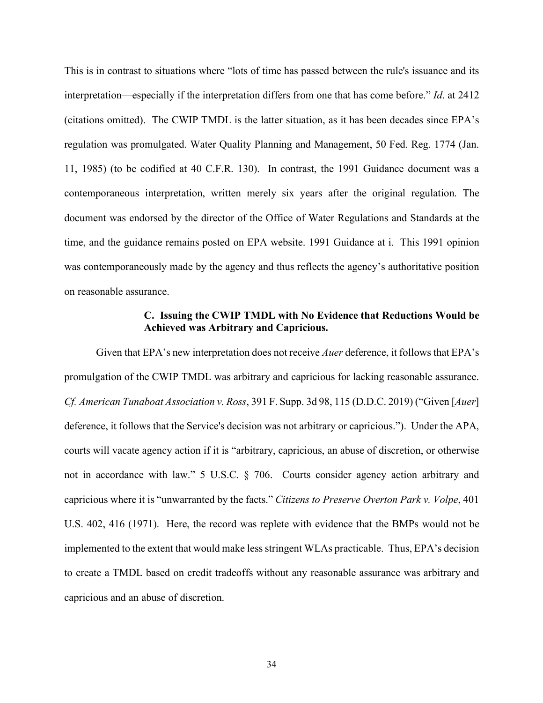This is in contrast to situations where "lots of time has passed between the rule's issuance and its interpretation—especially if the interpretation differs from one that has come before." *Id*. at 2412 (citations omitted). The CWIP TMDL is the latter situation, as it has been decades since EPA's regulation was promulgated. Water Quality Planning and Management, 50 Fed. Reg. 1774 (Jan. 11, 1985) (to be codified at 40 C.F.R. 130). In contrast, the 1991 Guidance document was a contemporaneous interpretation, written merely six years after the original regulation. The document was endorsed by the director of the Office of Water Regulations and Standards at the time, and the guidance remains posted on EPA website. 1991 Guidance at i. This 1991 opinion was contemporaneously made by the agency and thus reflects the agency's authoritative position on reasonable assurance.

## **C. Issuing the CWIP TMDL with No Evidence that Reductions Would be Achieved was Arbitrary and Capricious.**

Given that EPA's new interpretation does not receive *Auer* deference, it follows that EPA's promulgation of the CWIP TMDL was arbitrary and capricious for lacking reasonable assurance. *Cf. American Tunaboat Association v. Ross*, 391 F. Supp. 3d 98, 115 (D.D.C. 2019) ("Given [*Auer*] deference, it follows that the Service's decision was not arbitrary or capricious."). Under the APA, courts will vacate agency action if it is "arbitrary, capricious, an abuse of discretion, or otherwise not in accordance with law." 5 U.S.C. § 706. Courts consider agency action arbitrary and capricious where it is "unwarranted by the facts." *Citizens to Preserve Overton Park v. Volpe*, 401 U.S. 402, 416 (1971). Here, the record was replete with evidence that the BMPs would not be implemented to the extent that would make less stringent WLAs practicable. Thus, EPA's decision to create a TMDL based on credit tradeoffs without any reasonable assurance was arbitrary and capricious and an abuse of discretion.